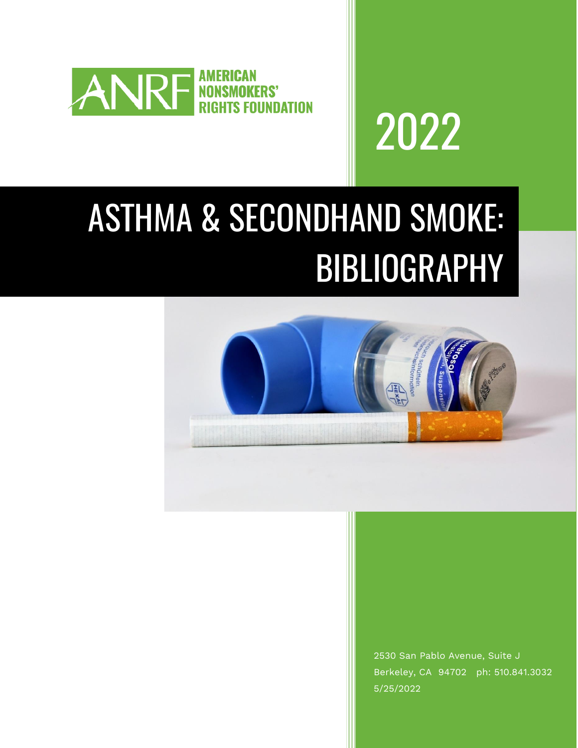



## ASTHMA & SECONDHAND SMOKE: BIBLIOGRAPHY



2530 San Pablo Avenue, Suite J Berkeley, CA 94702 ph: 510.841.3032 5/25/2022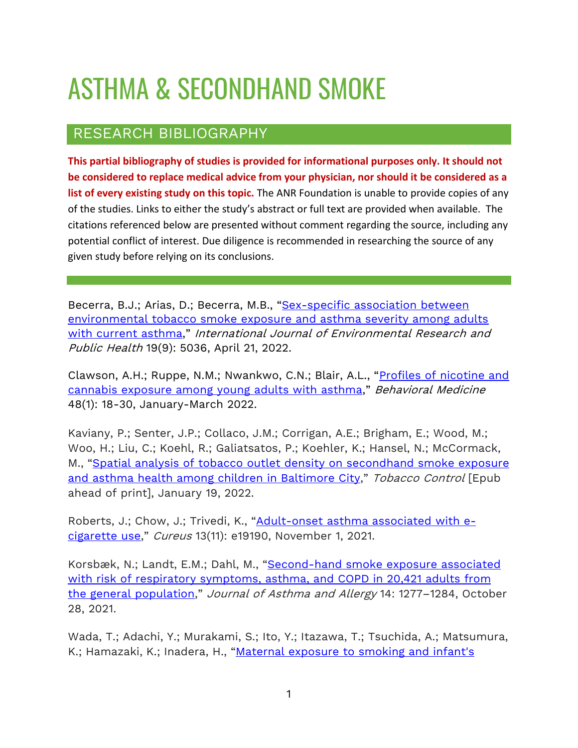## ASTHMA & SECONDHAND SMOKE

## RESEARCH BIBLIOGRAPHY

**This partial bibliography of studies is provided for informational purposes only. It should not be considered to replace medical advice from your physician, nor should it be considered as a list of every existing study on this topic.** The ANR Foundation is unable to provide copies of any of the studies. Links to either the study's abstract or full text are provided when available. The citations referenced below are presented without comment regarding the source, including any potential conflict of interest. Due diligence is recommended in researching the source of any given study before relying on its conclusions.

Becerra, B.J.; Arias, D.; Becerra, M.B., "[Sex-specific association between](https://www.mdpi.com/1660-4601/19/9/5036)  [environmental tobacco smoke exposure and asthma severity among adults](https://www.mdpi.com/1660-4601/19/9/5036)  [with current asthma](https://www.mdpi.com/1660-4601/19/9/5036)," International Journal of Environmental Research and Public Health 19(9): 5036, April 21, 2022.

Clawson, A.H.; Ruppe, N.M.; Nwankwo, C.N.; Blair, A.L., "[Profiles of nicotine and](https://doi.org/10.1080/08964289.2020.1763904)  [cannabis exposure among young adults with asthma](https://doi.org/10.1080/08964289.2020.1763904)," Behavioral Medicine 48(1): 18-30, January-March 2022.

Kaviany, P.; Senter, J.P.; Collaco, J.M.; Corrigan, A.E.; Brigham, E.; Wood, M.; Woo, H.; Liu, C.; Koehl, R.; Galiatsatos, P.; Koehler, K.; Hansel, N.; McCormack, M., "Spatial analysis of tobacco outlet density on [secondhand](https://doi.org/10.1136/tobaccocontrol-2021-056878) smoke exposure and asthma health among children in [Baltimore](https://doi.org/10.1136/tobaccocontrol-2021-056878) City," Tobacco Control [Epub ahead of print], January 19, 2022.

Roberts, J.; Chow, J.; Trivedi, K., "[Adult-onset](https://dx.doi.org/10.7759%2Fcureus.19190) asthma associated with e[cigarette](https://dx.doi.org/10.7759%2Fcureus.19190) use," Cureus 13(11): e19190, November 1, 2021.

Korsbæk, N.; Landt, E.M.; Dahl, M., "[Second-hand](https://doi.org/10.2147/JAA.S328748) smoke exposure associated with risk of respiratory [symptoms,](https://doi.org/10.2147/JAA.S328748) asthma, and COPD in 20,421 adults from the general [population](https://doi.org/10.2147/JAA.S328748)," Journal of Asthma and Allergy 14: 1277-1284, October 28, 2021.

Wada, T.; Adachi, Y.; Murakami, S.; Ito, Y.; Itazawa, T.; Tsuchida, A.; Matsumura, K.; Hamazaki, K.; Inadera, H., "Maternal exposure to smoking and infant's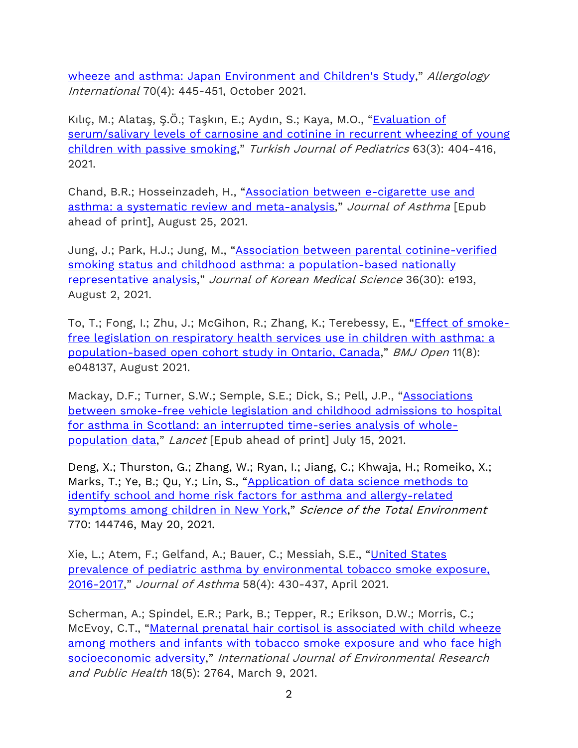[wheeze and asthma: Japan Environment and Children's Study](https://doi.org/10.1016/j.alit.2021.04.008)," Allergology International 70(4): 445-451, October 2021.

Kılıç, M.; Alataş, Ş.Ö.; Taşkın, E.; Aydın, S.; Kaya, M.O., "[Evaluation](https://doi.org/10.24953/turkjped.2021.03.007) of [serum/salivary](https://doi.org/10.24953/turkjped.2021.03.007) levels of carnosine and cotinine in recurrent wheezing of young children with passive [smoking](https://doi.org/10.24953/turkjped.2021.03.007)," Turkish Journal of Pediatrics 63(3): 404-416, 2021.

Chand, B.R.; Hosseinzadeh, H., "[Association between e-cigarette use and](https://doi.org/10.1080/02770903.2021.1971703)  [asthma: a systematic review and meta-analysis](https://doi.org/10.1080/02770903.2021.1971703)," Journal of Asthma [Epub ahead of print], August 25, 2021.

Jung, J.; Park, H.J.; Jung, M., "Association between parental [cotinine-verified](https://doi.org/10.3346/jkms.2021.36.e193) smoking status and childhood asthma: a [population-based](https://doi.org/10.3346/jkms.2021.36.e193) nationally [representative](https://doi.org/10.3346/jkms.2021.36.e193) analysis," Journal of Korean Medical Science 36(30): e193, August 2, 2021.

To, T.; Fong, I.; Zhu, J.; McGihon, R.; Zhang, K.; Terebessy, E., "*Effect of [smoke](http://dx.doi.org/10.1136/bmjopen-2020-048137)*free legislation on [respiratory](http://dx.doi.org/10.1136/bmjopen-2020-048137) health services use in children with asthma: a [population-based](http://dx.doi.org/10.1136/bmjopen-2020-048137) open cohort study in Ontario, Canada," BMJ Open 11(8): e048137, August 2021.

Mackay, D.F.; Turner, S.W.; Semple, S.E.; Dick, S.; Pell, J.P., "[Associations](https://doi.org/10.1016/S2468-2667(21)00129-8)  [between smoke-free vehicle legislation and childhood admissions to hospital](https://doi.org/10.1016/S2468-2667(21)00129-8)  [for asthma in Scotland: an interrupted time-series analysis of whole](https://doi.org/10.1016/S2468-2667(21)00129-8)[population data](https://doi.org/10.1016/S2468-2667(21)00129-8)," Lancet [Epub ahead of print] July 15, 2021.

Deng, X.; Thurston, G.; Zhang, W.; Ryan, I.; Jiang, C.; Khwaja, H.; Romeiko, X.; Marks, T.; Ye, B.; Qu, Y.; Lin, S., "Application of data science methods to [identify school and home risk factors for asthma and allergy-related](https://doi.org/10.1016/j.scitotenv.2020.144746)  [symptoms among children in New York](https://doi.org/10.1016/j.scitotenv.2020.144746)," Science of the Total Environment 770: 144746, May 20, 2021.

Xie, L.; Atem, F.; Gelfand, A.; Bauer, C.; Messiah, S.E., "[United](https://doi.org/10.1080/02770903.2019.1709868) States prevalence of pediatric asthma by environmental [tobacco smoke exposure,](https://doi.org/10.1080/02770903.2019.1709868)  [2016-2017](https://doi.org/10.1080/02770903.2019.1709868)," Journal of Asthma 58(4): 430-437, April 2021.

Scherman, A.; Spindel, E.R.; Park, B.; Tepper, R.; Erikson, D.W.; Morris, C.; McEvoy, C.T., "Maternal prenatal hair cortisol is [associated](https://doi.org/10.3390/ijerph18052764) with child wheeze among mothers and infants with tobacco smoke [exposure](https://doi.org/10.3390/ijerph18052764) and who face high [socioeconomic](https://doi.org/10.3390/ijerph18052764) adversity," International Journal of Environmental Research and Public Health 18(5): 2764, March 9, 2021.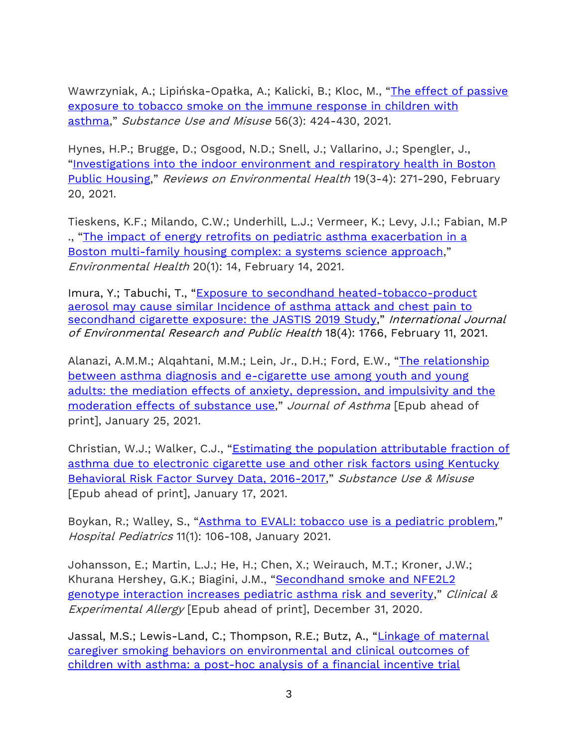Wawrzyniak, A.; Lipińska-Opałka, A.; Kalicki, B.; Kloc, M., "[The effect of passive](https://doi.org/10.1080/10826084.2020.1869263)  [exposure to tobacco smoke on the immune response in children with](https://doi.org/10.1080/10826084.2020.1869263)  [asthma](https://doi.org/10.1080/10826084.2020.1869263)," Substance Use and Misuse 56(3): 424-430, 2021.

Hynes, H.P.; Brugge, D.; Osgood, N.D.; Snell, J.; Vallarino, J.; Spengler, J., "[Investigations](https://doi.org/10.1515/reveh-2004-19-3-407) into the indoor environment and respiratory health in Boston Public [Housing](https://doi.org/10.1515/reveh-2004-19-3-407)," Reviews on Environmental Health 19(3-4): 271-290, February 20, 2021.

Tieskens, K.F.; Milando, C.W.; Underhill, L.J.; Vermeer, K.; Levy, J.I.; Fabian, M.P ., "The impact of energy retrofits on pediatric asthma [exacerbation](https://dx.doi.org/10.1186%2Fs12940-021-00699-x) in a Boston [multi-family](https://dx.doi.org/10.1186%2Fs12940-021-00699-x) housing complex: a systems science approach," Environmental Health 20(1): 14, February 14, 2021.

Imura, Y.; Tabuchi, T., "[Exposure to secondhand heated-tobacco-product](https://doi.org/10.3390/ijerph18041766)  [aerosol may cause similar Incidence of asthma attack and chest pain to](https://doi.org/10.3390/ijerph18041766)  [secondhand cigarette exposure: the JASTIS 2019 Study](https://doi.org/10.3390/ijerph18041766)," International Journal of Environmental Research and Public Health 18(4): 1766, February 11, 2021.

Alanazi, A.M.M.; Algahtani, M.M.; Lein, Jr., D.H.; Ford, E.W., "The relationship [between asthma diagnosis and e-cigarette use among youth and young](https://doi.org/10.1080/02770903.2021.1879849)  [adults: the mediation effects of anxiety, depression, and impulsivity and the](https://doi.org/10.1080/02770903.2021.1879849)  [moderation effects of substance use](https://doi.org/10.1080/02770903.2021.1879849)," Journal of Asthma [Epub ahead of print], January 25, 2021.

Christian, W.J.; Walker, C.J., "[Estimating the population attributable fraction of](https://doi.org/10.1080/10826084.2020.1868002)  [asthma due to electronic cigarette use and other risk factors using Kentucky](https://doi.org/10.1080/10826084.2020.1868002)  [Behavioral Risk Factor Survey Data, 2016-2017](https://doi.org/10.1080/10826084.2020.1868002)," Substance Use & Misuse [Epub ahead of print], January 17, 2021.

Boykan, R.; Walley, S., "Asthma to EVALI: tobacco use is a [pediatric](https://doi.org/10.1542/hpeds.2020-003715) problem," Hospital Pediatrics 11(1): 106-108, January 2021.

Johansson, E.; Martin, L.J.; He, H.; Chen, X.; Weirauch, M.T.; Kroner, J.W.; Khurana Hershey, G.K.; Biagini, J.M., "[Secondhand smoke and NFE2L2](https://doi.org/10.1111/cea.13815)  [genotype interaction increases pediatric asthma risk and severity](https://doi.org/10.1111/cea.13815)," Clinical & Experimental Allergy [Epub ahead of print], December 31, 2020.

Jassal, M.S.; Lewis-Land, C.; Thompson, R.E.; Butz, A., "Linkage of maternal [caregiver smoking behaviors on environmental and clinical outcomes of](https://doi.org/10.3390/ijerph17228502)  [children with asthma: a post-hoc analysis of a financial incentive trial](https://doi.org/10.3390/ijerph17228502)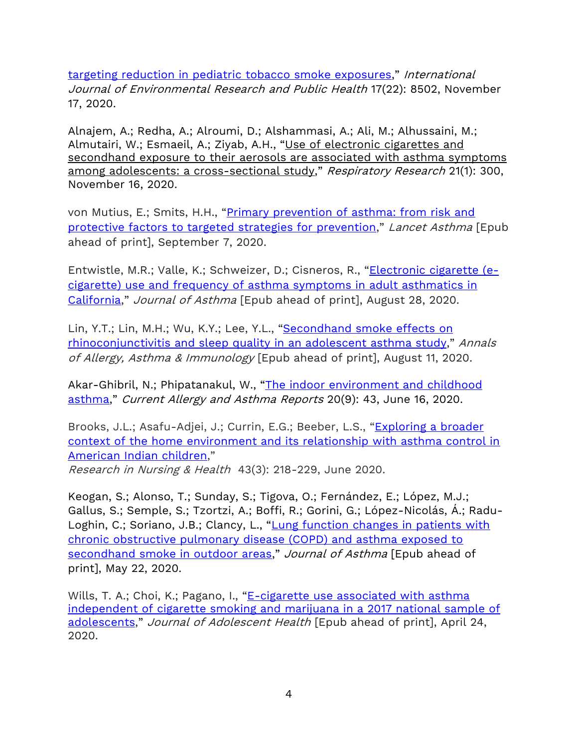[targeting reduction in pediatric](https://doi.org/10.3390/ijerph17228502) tobacco smoke exposures," International Journal of Environmental Research and Public Health 17(22): 8502, November 17, 2020.

Alnajem, A.; Redha, A.; Alroumi, D.; Alshammasi, A.; Ali, M.; Alhussaini, M.; Almutairi, W.; Esmaeil, A.; Ziyab, A.H., "Use of [electronic](https://doi.org/10.1186/s12931-020-01569-9) cigarettes and [secondhand](https://doi.org/10.1186/s12931-020-01569-9) exposure to their aerosols are associated with asthma symptoms among adolescents: a [cross-sectional](https://doi.org/10.1186/s12931-020-01569-9) study," Respiratory Research 21(1): 300, November 16, 2020.

von Mutius, E.; Smits, H.H., "[Primary prevention of asthma: from risk and](https://doi.org/10.1016/S0140-6736(20)31861-4)  [protective factors to targeted strategies for prevention](https://doi.org/10.1016/S0140-6736(20)31861-4)," Lancet Asthma [Epub ahead of print], September 7, 2020.

Entwistle, M.R.; Valle, K.; Schweizer, D.; Cisneros, R., "[Electronic](https://doi.org/10.1080/02770903.2020.1805751) cigarette (ecigarette) use and frequency of asthma symptoms in adult [asthmatics](https://doi.org/10.1080/02770903.2020.1805751) in [California](https://doi.org/10.1080/02770903.2020.1805751)," Journal of Asthma [Epub ahead of print], August 28, 2020.

Lin, Y.T.; Lin, M.H.; Wu, K.Y.; Lee, Y.L., "[Secondhand](https://doi.org/10.1016/j.anai.2020.08.014) smoke effects on [rhinoconjunctivitis](https://doi.org/10.1016/j.anai.2020.08.014) and sleep quality in an adolescent asthma study," Annals of Allergy, Asthma & Immunology [Epub ahead of print], August 11, 2020.

Akar-Ghibril, N.; Phipatanakul, W., "The indoor environment and childhood [asthma](https://doi.org/10.1007/s11882-020-00941-5)," Current Allergy and Asthma Reports 20(9): 43, June 16, 2020.

Brooks, J.L.; Asafu-Adjei, J.; Currin, E.G.; Beeber, L.S., "[Exploring a broader](https://doi.org/10.1002/nur.22020)  [context of the home environment and its relationship with asthma control in](https://doi.org/10.1002/nur.22020)  [American Indian children](https://doi.org/10.1002/nur.22020),"

Research in Nursing & Health 43(3): 218-229, June 2020.

Keogan, S.; Alonso, T.; Sunday, S.; Tigova, O.; Fernández, E.; López, M.J.; Gallus, S.; Semple, S.; Tzortzi, A.; Boffi, R.; Gorini, G.; López-Nicolás, Á.; Radu-Loghin, C.; Soriano, J.B.; Clancy, L., "Lung function changes in patients with [chronic obstructive pulmonary disease \(COPD\) and asthma exposed to](https://doi.org/10.1080/02770903.2020.1766062)  [secondhand smoke in outdoor areas](https://doi.org/10.1080/02770903.2020.1766062)," Journal of Asthma [Epub ahead of print], May 22, 2020.

Wills, T. A.; Choi, K.; Pagano, I., "E-cigarette use associated with asthma [independent of cigarette smoking and marijuana in a 2017 national sample of](https://doi.org/10.1016/j.jadohealth.2020.03.001)  [adolescents](https://doi.org/10.1016/j.jadohealth.2020.03.001)," Journal of Adolescent Health [Epub ahead of print], April 24, 2020.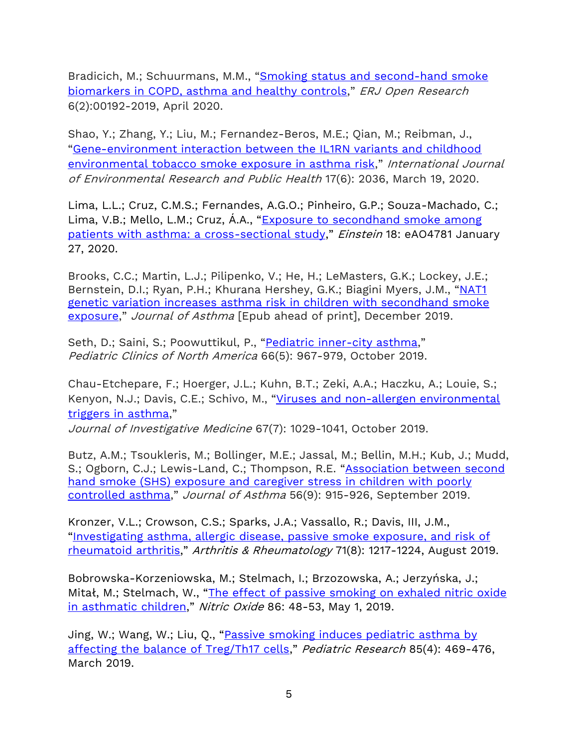Bradicich, M.; Schuurmans, M.M., "Smoking status and second-hand smoke [biomarkers in COPD, asthma and healthy controls](https://dx.doi.org/10.1183%2F23120541.00192-2019)," ERJ Open Research 6(2):00192-2019, April 2020.

Shao, Y.; Zhang, Y.; Liu, M.; Fernandez-Beros, M.E.; Qian, M.; Reibman, J., "[Gene-environment interaction between the IL1RN variants and childhood](https://doi.org/10.3390/ijerph17062036)  [environmental tobacco smoke exposure in asthma risk](https://doi.org/10.3390/ijerph17062036)," International Journal of Environmental Research and Public Health 17(6): 2036, March 19, 2020.

Lima, L.L.; Cruz, C.M.S.; Fernandes, A.G.O.; Pinheiro, G.P.; Souza-Machado, C.; Lima, V.B.; Mello, L.M.; Cruz, A.A., "Exposure to secondhand smoke among [patients with asthma: a cross-sectional study](http://www.scielo.br/scielo.php?script=sci_arttext&pid=S1679-45082020000100231&lng=en&nrm=iso&tlng=en)," Einstein 18: eAO4781 January 27, 2020.

Brooks, C.C.; Martin, L.J.; Pilipenko, V.; He, H.; LeMasters, G.K.; Lockey, J.E.; Bernstein, D.I.; Ryan, P.H.; Khurana Hershey, G.K.; Biagini Myers, J.M., "[NAT1](https://doi.org/10.1080/02770903.2019.1694941) genetic variation increases asthma risk in children with [secondhand](https://doi.org/10.1080/02770903.2019.1694941) smoke [exposure](https://doi.org/10.1080/02770903.2019.1694941)," Journal of Asthma [Epub ahead of print], December 2019.

Seth, D.; Saini, S.; Poowuttikul, P., "Pediatric [inner-city](https://doi.org/10.1016/j.pcl.2019.06.012) asthma," Pediatric Clinics of North America 66(5): 967-979, October 2019.

Chau-Etchepare, F.; Hoerger, J.L.; Kuhn, B.T.; Zeki, A.A.; Haczku, A.; Louie, S.; Kenyon, N.J.; Davis, C.E.; Schivo, M., "Viruses and non-allergen [environmental](http://dx.doi.org/10.1136/jim-2019-001000) [triggers](http://dx.doi.org/10.1136/jim-2019-001000) in asthma,"

Journal of Investigative Medicine 67(7): 1029-1041, October 2019.

Butz, A.M.; Tsoukleris, M.; Bollinger, M.E.; Jassal, M.; Bellin, M.H.; Kub, J.; Mudd, S.; Ogborn, C.J.; Lewis-Land, C.; Thompson, R.E. "Association between second [hand smoke \(SHS\) exposure and caregiver stress in children with poorly](https://doi.org/10.1080/02770903.2018.1509989)  [controlled asthma](https://doi.org/10.1080/02770903.2018.1509989)," Journal of Asthma 56(9): 915-926, September 2019.

Kronzer, V.L.; Crowson, C.S.; Sparks, J.A.; Vassallo, R.; Davis, III, J.M., "[Investigating asthma, allergic disease, passive smoke exposure, and risk of](https://doi.org/10.1002/art.40858)  [rheumatoid arthritis](https://doi.org/10.1002/art.40858)," Arthritis & Rheumatology 71(8): 1217-1224, August 2019.

Bobrowska-Korzeniowska, M.; Stelmach, I.; Brzozowska, A.; Jerzyńska, J.; Mitał, M.; Stelmach, W., "The effect of passive smoking on exhaled nitric oxide [in asthmatic children](https://doi.org/10.1016/j.niox.2019.01.012)," Nitric Oxide 86: 48-53, May 1, 2019.

Jing, W.; Wang, W.; Liu, Q., "[Passive smoking induces pediatric asthma by](https://doi.org/10.1038/s41390-019-0276-0)  [affecting the balance of Treg/Th17 cells](https://doi.org/10.1038/s41390-019-0276-0)," Pediatric Research 85(4): 469-476, March 2019.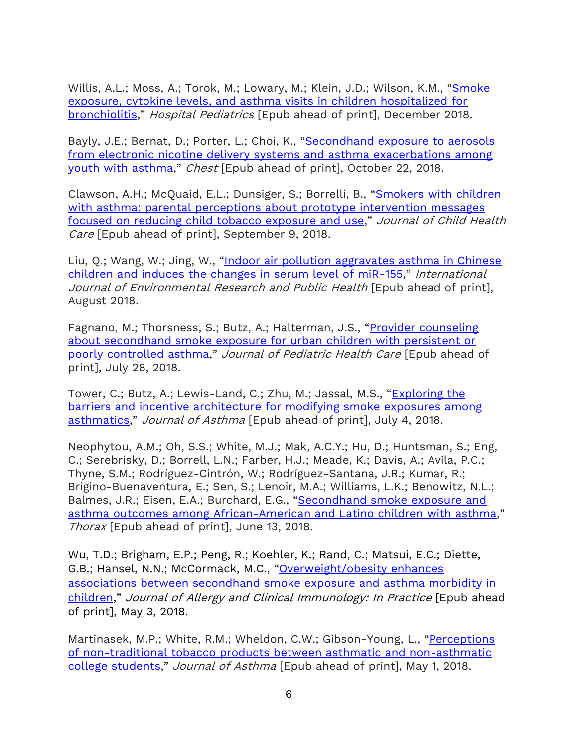Willis, A.L.; Moss, A.; Torok, M.; Lowary, M.; Klein, J.D.; Wilson, K.M., "Smoke [exposure, cytokine levels, and asthma visits in children hospitalized for](http://hosppeds.aappublications.org/content/early/2018/12/05/hpeds.2018-0067.long?sso=1&sso_redirect_count=2&nfstatus=401&nftoken=00000000-0000-0000-0000-000000000000&nfstatusdescription=ERROR%3A%20No%20local%20token&nfstatus=401&nftoken=00000000-0000-0000-0000-000000000000&nfstatusdescription=ERROR%3a+No+local+token)  [bronchiolitis](http://hosppeds.aappublications.org/content/early/2018/12/05/hpeds.2018-0067.long?sso=1&sso_redirect_count=2&nfstatus=401&nftoken=00000000-0000-0000-0000-000000000000&nfstatusdescription=ERROR%3A%20No%20local%20token&nfstatus=401&nftoken=00000000-0000-0000-0000-000000000000&nfstatusdescription=ERROR%3a+No+local+token)," Hospital Pediatrics [Epub ahead of print], December 2018.

Bayly, J.E.; Bernat, D.; Porter, L.; Choi, K., "Secondhand exposure to aerosols [from electronic nicotine delivery systems and asthma exacerbations among](https://journal.chestnet.org/article/S0012-3692(18)32584-4/pdf)  [youth with asthma](https://journal.chestnet.org/article/S0012-3692(18)32584-4/pdf)," Chest [Epub ahead of print], October 22, 2018.

Clawson, A.H.; McQuaid, E.L.; Dunsiger, S.; Borrelli, B., "[Smokers with children](http://journals.sagepub.com/doi/abs/10.1177/1367493518798436?url_ver=Z39.88-2003&rfr_id=ori%3Arid%3Acrossref.org&rfr_dat=cr_pub%3Dpubmed&)  with asthma: parental perceptions about prototype intervention messages [focused on reducing child tobacco exposure and use](http://journals.sagepub.com/doi/abs/10.1177/1367493518798436?url_ver=Z39.88-2003&rfr_id=ori%3Arid%3Acrossref.org&rfr_dat=cr_pub%3Dpubmed&)," Journal of Child Health Care [Epub ahead of print], September 9, 2018.

Liu, Q.; Wang, W.; Jing, W., "[Indoor air pollution aggravates asthma in Chinese](https://www.ncbi.nlm.nih.gov/pubmed/30084260)  [children and induces the changes in serum level of miR-155](https://www.ncbi.nlm.nih.gov/pubmed/30084260)," International Journal of Environmental Research and Public Health [Epub ahead of print], August 2018.

Fagnano, M.; Thorsness, S.; Butz, A.; Halterman, J.S., "Provider counseling [about secondhand smoke exposure for urban children with persistent or](https://www.jpedhc.org/article/S0891-5245(18)30187-1/fulltext)  [poorly controlled asthma](https://www.jpedhc.org/article/S0891-5245(18)30187-1/fulltext)," Journal of Pediatric Health Care [Epub ahead of print], July 28, 2018.

Tower, C.; Butz, A.; Lewis-Land, C.; Zhu, M.; Jassal, M.S., "[Exploring the](https://www.tandfonline.com/doi/abs/10.1080/02770903.2018.1490960)  [barriers and incentive architecture for modifying smoke exposures among](https://www.tandfonline.com/doi/abs/10.1080/02770903.2018.1490960)  [asthmatics](https://www.tandfonline.com/doi/abs/10.1080/02770903.2018.1490960)," Journal of Asthma [Epub ahead of print], July 4, 2018.

Neophytou, A.M.; Oh, S.S.; White, M.J.; Mak, A.C.Y.; Hu, D.; Huntsman, S.; Eng, C.; Serebrisky, D.; Borrell, L.N.; Farber, H.J.; Meade, K.; Davis, A.; Avila, P.C.; Thyne, S.M.; Rodríguez-Cintrón, W.; Rodríguez-Santana, J.R.; Kumar, R.; Brigino-Buenaventura, E.; Sen, S.; Lenoir, M.A.; Williams, L.K.; Benowitz, N.L.; Balmes, J.R.; Eisen, E.A.; Burchard, E.G., "Secondhand smoke exposure and [asthma outcomes among African-American and Latino children with asthma](https://thorax.bmj.com/content/early/2018/06/13/thoraxjnl-2017-211383.long)," Thorax [Epub ahead of print], June 13, 2018.

Wu, T.D.; Brigham, E.P.; Peng, R.; Koehler, K.; Rand, C.; Matsui, E.C.; Diette, G.B.; Hansel, N.N.; McCormack, M.C., "[Overweight/obesity enhances](https://www.sciencedirect.com/science/article/pii/S2213219818302976?via%3Dihub)  [associations between secondhand smoke exposure and asthma morbidity in](https://www.sciencedirect.com/science/article/pii/S2213219818302976?via%3Dihub)  [children](https://www.sciencedirect.com/science/article/pii/S2213219818302976?via%3Dihub)," Journal of Allergy and Clinical Immunology: In Practice [Epub ahead of print], May 3, 2018.

Martinasek, M.P.; White, R.M.; Wheldon, C.W.; Gibson-Young, L., "[Perceptions](https://www.tandfonline.com/doi/full/10.1080/02770903.2018.1471705)  [of non-traditional tobacco products between asthmatic and non-asthmatic](https://www.tandfonline.com/doi/full/10.1080/02770903.2018.1471705)  [college students](https://www.tandfonline.com/doi/full/10.1080/02770903.2018.1471705)," Journal of Asthma [Epub ahead of print], May 1, 2018.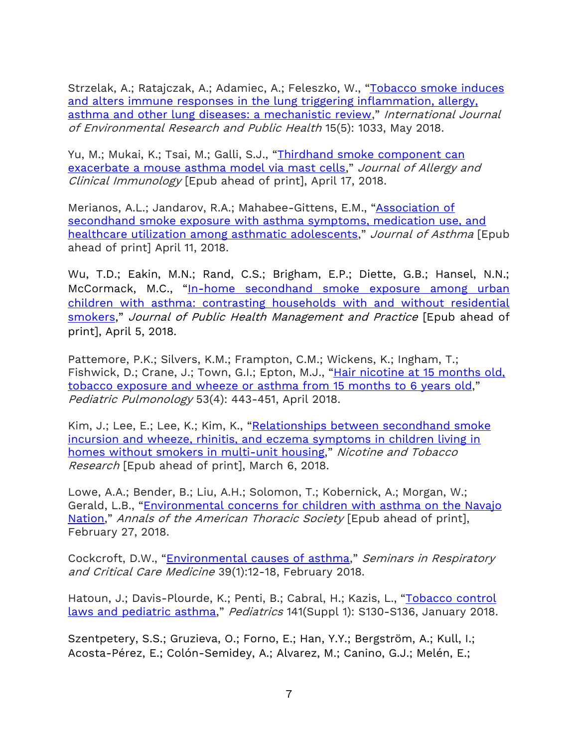Strzelak, A.; Ratajczak, A.; Adamiec, A.; Feleszko, W., "[Tobacco smoke induces](https://www.mdpi.com/1660-4601/15/5/1033)  [and alters immune responses in the lung triggering inflammation, allergy,](https://www.mdpi.com/1660-4601/15/5/1033)  [asthma and other lung diseases: a mechanistic review](https://www.mdpi.com/1660-4601/15/5/1033)," International Journal of Environmental Research and Public Health 15(5): 1033, May 2018.

Yu, M.; Mukai, K.; Tsai, M.; Galli, S.J., "Thirdhand smoke component can [exacerbate a mouse asthma model via mast cells](https://www.jacionline.org/article/S0091-6749(18)30516-5/pdf)," Journal of Allergy and Clinical Immunology [Epub ahead of print], April 17, 2018.

Merianos, A.L.; Jandarov, R.A.; Mahabee-Gittens, E.M., "[Association of](https://www.tandfonline.com/doi/full/10.1080/02770903.2018.1463379)  [secondhand smoke exposure with asthma symptoms, medication use, and](https://www.tandfonline.com/doi/full/10.1080/02770903.2018.1463379)  [healthcare utilization among asthmatic adolescents](https://www.tandfonline.com/doi/full/10.1080/02770903.2018.1463379)," Journal of Asthma [Epub ahead of print] April 11, 2018.

Wu, T.D.; Eakin, M.N.; Rand, C.S.; Brigham, E.P.; Diette, G.B.; Hansel, N.N.; McCormack, M.C., "In-home secondhand smoke exposure among urban [children with asthma: contrasting households with and without residential](https://europepmc.org/abstract/med/29883368)  [smokers](https://europepmc.org/abstract/med/29883368)," Journal of Public Health Management and Practice [Epub ahead of print], April 5, 2018.

Pattemore, P.K.; Silvers, K.M.; Frampton, C.M.; Wickens, K.; Ingham, T.; Fishwick, D.; Crane, J.; Town, G.I.; Epton, M.J., "Hair [nicotine](https://onlinelibrary.wiley.com/doi/abs/10.1002/ppul.23903) at 15 months old, tobacco [exposure](https://onlinelibrary.wiley.com/doi/abs/10.1002/ppul.23903) and wheeze or asthma from 15 months to 6 years old," Pediatric Pulmonology 53(4): 443-451, April 2018.

Kim, J.; Lee, E.; Lee, K.; Kim, K., "[Relationships between secondhand smoke](https://academic.oup.com/ntr/advance-article-abstract/doi/10.1093/ntr/nty027/4923104?redirectedFrom=fulltext)  [incursion and wheeze, rhinitis, and eczema symptoms in children living in](https://academic.oup.com/ntr/advance-article-abstract/doi/10.1093/ntr/nty027/4923104?redirectedFrom=fulltext)  [homes without smokers in multi-unit housing](https://academic.oup.com/ntr/advance-article-abstract/doi/10.1093/ntr/nty027/4923104?redirectedFrom=fulltext)," Nicotine and Tobacco Research [Epub ahead of print], March 6, 2018.

Lowe, A.A.; Bender, B.; Liu, A.H.; Solomon, T.; Kobernick, A.; Morgan, W.; Gerald, L.B., "[Environmental concerns for children with asthma on the Navajo](https://www.atsjournals.org/doi/abs/10.1513/AnnalsATS.201708-674PS?url_ver=Z39.88-2003&rfr_id=ori%3Arid%3Acrossref.org&rfr_dat=cr_pub%3Dpubmed&)  [Nation](https://www.atsjournals.org/doi/abs/10.1513/AnnalsATS.201708-674PS?url_ver=Z39.88-2003&rfr_id=ori%3Arid%3Acrossref.org&rfr_dat=cr_pub%3Dpubmed&)," Annals of the American Thoracic Society [Epub ahead of print], February 27, 2018.

Cockcroft, D.W., "[Environmental causes of asthma](https://www.thieme-connect.com/DOI/DOI?10.1055/s-0037-1606219)," Seminars in Respiratory and Critical Care Medicine 39(1):12-18, February 2018.

Hatoun, J.; Davis-Plourde, K.; Penti, B.; Cabral, H.; Kazis, L., "[Tobacco](http://pediatrics.aappublications.org/cgi/pmidlookup?view=long&pmid=29292313) control laws and [pediatric](http://pediatrics.aappublications.org/cgi/pmidlookup?view=long&pmid=29292313) asthma," Pediatrics 141(Suppl 1): S130-S136, January 2018.

Szentpetery, S.S.; Gruzieva, O.; Forno, E.; Han, Y.Y.; Bergström, A.; Kull, I.; Acosta-Pérez, E.; Colón-Semidey, A.; Alvarez, M.; Canino, G.J.; Melén, E.;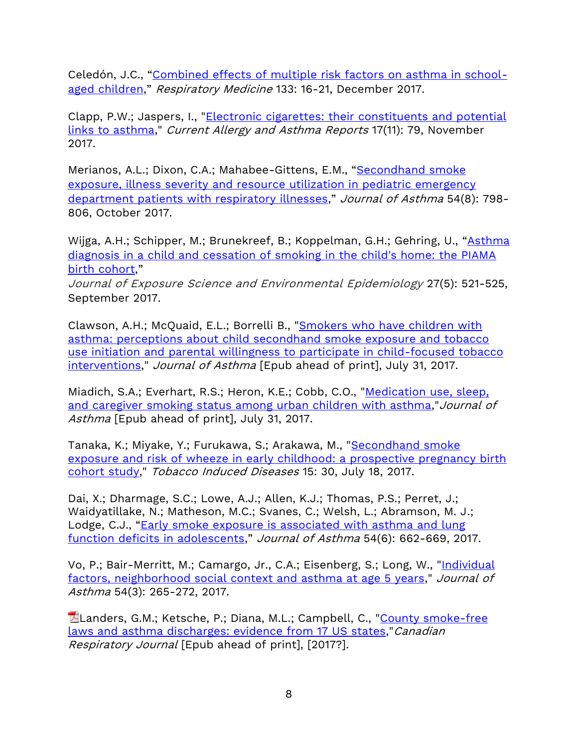Celedón, J.C., "[Combined effects of multiple risk factors on asthma in school](https://www.resmedjournal.com/article/S0954-6111(17)30369-4/fulltext)[aged children](https://www.resmedjournal.com/article/S0954-6111(17)30369-4/fulltext)," Respiratory Medicine 133: 16-21, December 2017.

Clapp, P.W.; Jaspers, I., ["Electronic cigarettes: their constituents and potential](https://dx.doi.org/10.1007/s11882-017-0747-5)  [links to asthma,](https://dx.doi.org/10.1007/s11882-017-0747-5)" Current Allergy and Asthma Reports 17(11): 79, November 2017.

Merianos, A.L.; Dixon, C.A.; Mahabee-Gittens, E.M., "Secondhand smoke [exposure, illness severity and resource utilization in pediatric emergency](https://www.ncbi.nlm.nih.gov/pmc/articles/PMC5493502/)  [department patients with respiratory illnesses](https://www.ncbi.nlm.nih.gov/pmc/articles/PMC5493502/)," Journal of Asthma 54(8): 798-806, October 2017.

Wijga, A.H.; Schipper, M.; Brunekreef, B.; Koppelman, G.H.; Gehring, U., "[Asthma](https://www.nature.com/articles/jes201675)  [diagnosis in a child and cessation of smoking in the child's home: the PIAMA](https://www.nature.com/articles/jes201675)  [birth cohort](https://www.nature.com/articles/jes201675),"

Journal of Exposure Science and Environmental Epidemiology 27(5): 521-525, September 2017.

Clawson, A.H.; McQuaid, E.L.; Borrelli B., ["Smokers who have children with](http://www.tandfonline.com/doi/abs/10.1080/02770903.2017.1339797?journalCode=ijas20) [asthma: perceptions about child secondhand smoke exposure and tobacco](http://www.tandfonline.com/doi/abs/10.1080/02770903.2017.1339797?journalCode=ijas20)  [use initiation and parental willingness to participate in child-focused tobacco](http://www.tandfonline.com/doi/abs/10.1080/02770903.2017.1339797?journalCode=ijas20)  [interventions,](http://www.tandfonline.com/doi/abs/10.1080/02770903.2017.1339797?journalCode=ijas20)" Journal of Asthma [Epub ahead of print], July 31, 2017.

Miadich, S.A.; Everhart, R.S.; Heron, K.E.; Cobb, C.O., "Medication use, sleep, [and caregiver smoking status among urban children with asthma,](http://www.tandfonline.com/doi/abs/10.1080/02770903.2017.1350969?journalCode=ijas20)" Journal of Asthma [Epub ahead of print], July 31, 2017.

Tanaka, K.; Miyake, Y.; Furukawa, S.; Arakawa, M., ["Secondhand smoke](https://tobaccoinduceddiseases.biomedcentral.com/articles/10.1186/s12971-017-0138-7)  [exposure and risk of wheeze in early childhood: a prospective pregnancy birth](https://tobaccoinduceddiseases.biomedcentral.com/articles/10.1186/s12971-017-0138-7)  [cohort study,](https://tobaccoinduceddiseases.biomedcentral.com/articles/10.1186/s12971-017-0138-7)" Tobacco Induced Diseases 15: 30, July 18, 2017.

Dai, X.; Dharmage, S.C.; Lowe, A.J.; Allen, K.J.; Thomas, P.S.; Perret, J.; Waidyatillake, N.; Matheson, M.C.; Svanes, C.; Welsh, L.; Abramson, M. J.; Lodge, C.J., "[Early smoke exposure is associated with asthma and lung](https://www.tandfonline.com/doi/abs/10.1080/02770903.2016.1253730)  [function deficits in adolescents](https://www.tandfonline.com/doi/abs/10.1080/02770903.2016.1253730)," Journal of Asthma 54(6): 662-669, 2017.

Vo, P.; Bair-Merritt, M.; Camargo, Jr., C.A.; Eisenberg, S.; Long, W., "Individual [factors, neighborhood social context and asthma at age 5 years,](http://www.tandfonline.com/doi/full/10.1080/02770903.2016.1216563)" Journal of Asthma 54(3): 265-272, 2017.

**ELanders, G.M.; Ketsche, P.; Diana, M.L.; Campbell, C., "County smoke-free** [laws and asthma discharges: evidence from 17 US states,](http://downloads.hindawi.com/journals/crj/aip/6321258.pdf*)" Canadian Respiratory Journal [Epub ahead of print], [2017?].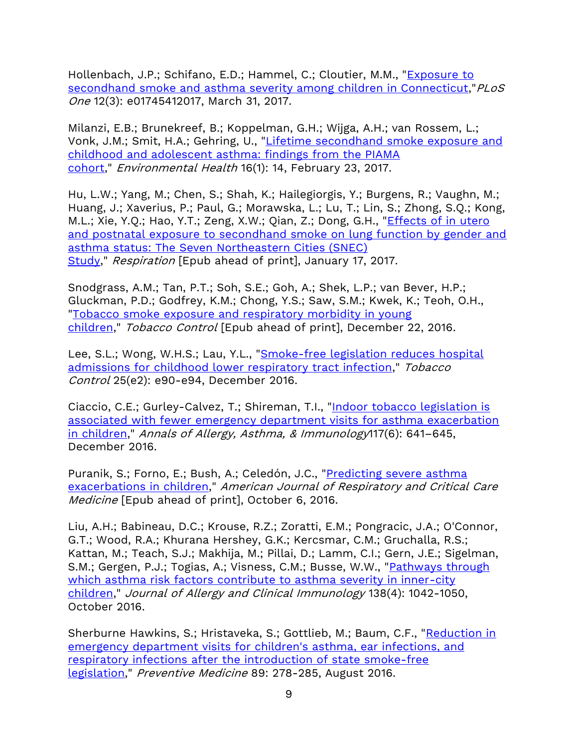Hollenbach, J.P.; Schifano, E.D.; Hammel, C.; Cloutier, M.M., "Exposure to [secondhand smoke and asthma severity among children in Connecticut,](http://journals.plos.org/plosone/article?id=10.1371/journal.pone.0174541)" PLoS One 12(3): e01745412017, March 31, 2017.

Milanzi, E.B.; Brunekreef, B.; Koppelman, G.H.; Wijga, A.H.; van Rossem, L.; Vonk, J.M.; Smit, H.A.; Gehring, U., ["Lifetime secondhand smoke exposure and](https://www.ncbi.nlm.nih.gov/pmc/articles/PMC5324208/)  [childhood and adolescent asthma: findings from the PIAMA](https://www.ncbi.nlm.nih.gov/pmc/articles/PMC5324208/)  [cohort,](https://www.ncbi.nlm.nih.gov/pmc/articles/PMC5324208/)" Environmental Health 16(1): 14, February 23, 2017.

Hu, L.W.; Yang, M.; Chen, S.; Shah, K.; Hailegiorgis, Y.; Burgens, R.; Vaughn, M.; Huang, J.; Xaverius, P.; Paul, G.; Morawska, L.; Lu, T.; Lin, S.; Zhong, S.Q.; Kong, M.L.; Xie, Y.Q.; Hao, Y.T.; Zeng, X.W.; Qian, Z.; Dong, G.H., "Effects of in utero [and postnatal exposure to secondhand smoke on lung function by gender and](https://www.ncbi.nlm.nih.gov/pubmed/28092910)  [asthma status: The Seven Northeastern Cities \(SNEC\)](https://www.ncbi.nlm.nih.gov/pubmed/28092910)  [Study,](https://www.ncbi.nlm.nih.gov/pubmed/28092910)" Respiration [Epub ahead of print], January 17, 2017.

Snodgrass, A.M.; Tan, P.T.; Soh, S.E.; Goh, A.; Shek, L.P.; van Bever, H.P.; Gluckman, P.D.; Godfrey, K.M.; Chong, Y.S.; Saw, S.M.; Kwek, K.; Teoh, O.H., ["Tobacco smoke exposure and respiratory morbidity in young](http://tobaccocontrol.bmj.com/content/early/2015/10/26/tobaccocontrol-2015-052383.abstract)  [children,](http://tobaccocontrol.bmj.com/content/early/2015/10/26/tobaccocontrol-2015-052383.abstract)" Tobacco Control [Epub ahead of print], December 22, 2016.

Lee, S.L.; Wong, W.H.S.; Lau, Y.L., ["Smoke-free legislation reduces hospital](http://tobaccocontrol.bmj.com/content/25/e2/e90.abstract?etoc)  [admissions for childhood lower respiratory tract infection,](http://tobaccocontrol.bmj.com/content/25/e2/e90.abstract?etoc)" Tobacco Control 25(e2): e90-e94, December 2016.

Ciaccio, C.E.; Gurley-Calvez, T.; Shireman, T.I., "Indoor tobacco legislation is [associated with fewer emergency department visits for asthma exacerbation](http://www.annallergy.org/article/S1081-1206(16)31165-6/abstract)  [in children,](http://www.annallergy.org/article/S1081-1206(16)31165-6/abstract)" Annals of Allergy, Asthma, & Immunology117(6): 641–645, December 2016.

Puranik, S.; Forno, E.; Bush, A.; Celedón, J.C., "Predicting severe asthma [exacerbations in children,](http://www.atsjournals.org/doi/abs/10.1164/rccm.201606-1213PP?url_ver=Z39.88-2003&rfr_id=ori:rid:crossref.org&rfr_dat=cr_pub=pubmed&#.V_5yjMmo6io)" American Journal of Respiratory and Critical Care Medicine [Epub ahead of print], October 6, 2016.

Liu, A.H.; Babineau, D.C.; Krouse, R.Z.; Zoratti, E.M.; Pongracic, J.A.; O'Connor, G.T.; Wood, R.A.; Khurana Hershey, G.K.; Kercsmar, C.M.; Gruchalla, R.S.; Kattan, M.; Teach, S.J.; Makhija, M.; Pillai, D.; Lamm, C.I.; Gern, J.E.; Sigelman, S.M.; Gergen, P.J.; Togias, A.; Visness, C.M.; Busse, W.W., ["Pathways through](http://www.jacionline.org/article/S0091-6749(16)30884-3/fulltext)  [which asthma risk factors contribute to asthma severity in inner-city](http://www.jacionline.org/article/S0091-6749(16)30884-3/fulltext)  [children,](http://www.jacionline.org/article/S0091-6749(16)30884-3/fulltext)" Journal of Allergy and Clinical Immunology 138(4): 1042-1050, October 2016.

Sherburne Hawkins, S.; Hristaveka, S.; Gottlieb, M.; Baum, C.F., ["Reduction in](http://www.sciencedirect.com/science/article/pii/S009174351630130X)  [emergency department visits for children's asthma, ear infections, and](http://www.sciencedirect.com/science/article/pii/S009174351630130X)  [respiratory infections after the introduction of state smoke-free](http://www.sciencedirect.com/science/article/pii/S009174351630130X)  [legislation,](http://www.sciencedirect.com/science/article/pii/S009174351630130X)" Preventive Medicine 89: 278-285, August 2016.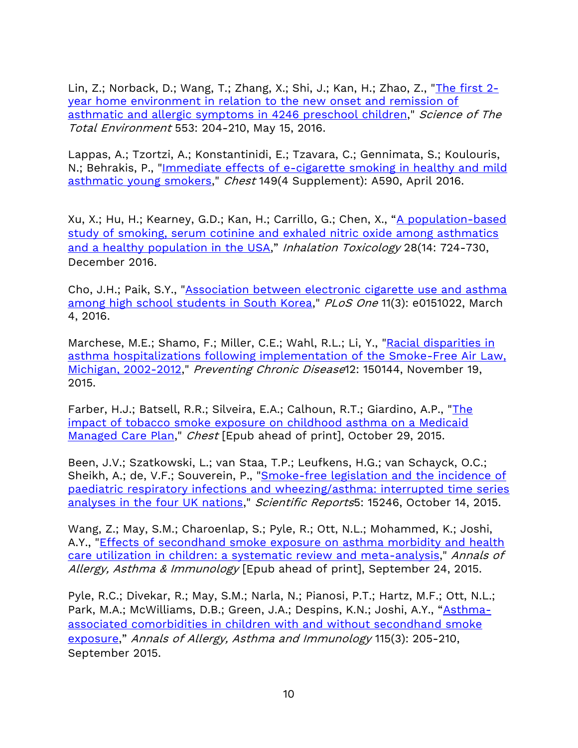Lin, Z.; Norback, D.; Wang, T.; Zhang, X.; Shi, J.; Kan, H.; Zhao, Z., ["The first 2](http://www.sciencedirect.com/science/article/pii/S0048969716302510) [year home environment in relation to the new onset and remission of](http://www.sciencedirect.com/science/article/pii/S0048969716302510)  [asthmatic and allergic symptoms in 4246 preschool children,](http://www.sciencedirect.com/science/article/pii/S0048969716302510)" Science of The Total Environment 553: 204-210, May 15, 2016.

Lappas, A.; Tzortzi, A.; Konstantinidi, E.; Tzavara, C.; Gennimata, S.; Koulouris, N.; Behrakis, P., ["Immediate effects of e-cigarette smoking in healthy and mild](http://www.sciencedirect.com/science/article/pii/S0012369216012344)  [asthmatic young smokers,](http://www.sciencedirect.com/science/article/pii/S0012369216012344)" Chest 149(4 Supplement): A590, April 2016.

Xu, X.; Hu, H.; Kearney, G.D.; Kan, H.; Carrillo, G.; Chen, X., "[A population-based](http://www.tandfonline.com/doi/full/10.1080/08958378.2016.1264502)  study of smoking, serum cotinine and exhaled nitric oxide among asthmatics [and a healthy population in the USA](http://www.tandfonline.com/doi/full/10.1080/08958378.2016.1264502)," Inhalation Toxicology 28(14: 724-730, December 2016.

Cho, J.H.; Paik, S.Y., ["Association between electronic cigarette use and asthma](http://journals.plos.org/plosone/article?id=10.1371/journal.pone.0151022)  [among high school students in South Korea,](http://journals.plos.org/plosone/article?id=10.1371/journal.pone.0151022)" PLoS One 11(3): e0151022, March 4, 2016.

Marchese, M.E.; Shamo, F.; Miller, C.E.; Wahl, R.L.; Li, Y., "Racial disparities in [asthma hospitalizations following implementation of the Smoke-Free Air Law,](http://www.cdc.gov/pcd/issues/2015/15_0144.htm)  [Michigan, 2002-2012,](http://www.cdc.gov/pcd/issues/2015/15_0144.htm)" Preventing Chronic Disease12: 150144, November 19, 2015.

Farber, H.J.; Batsell, R.R.; Silveira, E.A.; Calhoun, R.T.; Giardino, A.P., ["The](http://journal.publications.chestnet.org/article.aspx?articleid=2467186)  [impact of tobacco smoke exposure on childhood asthma on a Medicaid](http://journal.publications.chestnet.org/article.aspx?articleid=2467186)  [Managed Care Plan,](http://journal.publications.chestnet.org/article.aspx?articleid=2467186)" Chest [Epub ahead of print], October 29, 2015.

Been, J.V.; Szatkowski, L.; van Staa, T.P.; Leufkens, H.G.; van Schayck, O.C.; Sheikh, A.; de, V.F.; Souverein, P., "Smoke-free legislation and the incidence of [paediatric respiratory infections and wheezing/asthma: interrupted time series](http://www.nature.com/articles/srep15246)  [analyses in the four UK nations,](http://www.nature.com/articles/srep15246)" Scientific Reports5: 15246, October 14, 2015.

Wang, Z.; May, S.M.; Charoenlap, S.; Pyle, R.; Ott, N.L.; Mohammed, K.; Joshi, A.Y., ["Effects of secondhand smoke exposure on asthma morbidity and health](http://www.annallergy.org/article/S1081-1206(15)00523-2/abstract)  [care utilization in children: a systematic review and meta-analysis,](http://www.annallergy.org/article/S1081-1206(15)00523-2/abstract)" Annals of Allergy, Asthma & Immunology [Epub ahead of print], September 24, 2015.

Pyle, R.C.; Divekar, R.; May, S.M.; Narla, N.; Pianosi, P.T.; Hartz, M.F.; Ott, N.L.; Park, M.A.; McWilliams, D.B.; Green, J.A.; Despins, K.N.; Joshi, A.Y., "[Asthma](https://www.annallergy.org/article/S1081-1206(15)00443-3/fulltext)[associated comorbidities in children with and without secondhand smoke](https://www.annallergy.org/article/S1081-1206(15)00443-3/fulltext)  [exposure](https://www.annallergy.org/article/S1081-1206(15)00443-3/fulltext)," Annals of Allergy, Asthma and Immunology 115(3): 205-210, September 2015.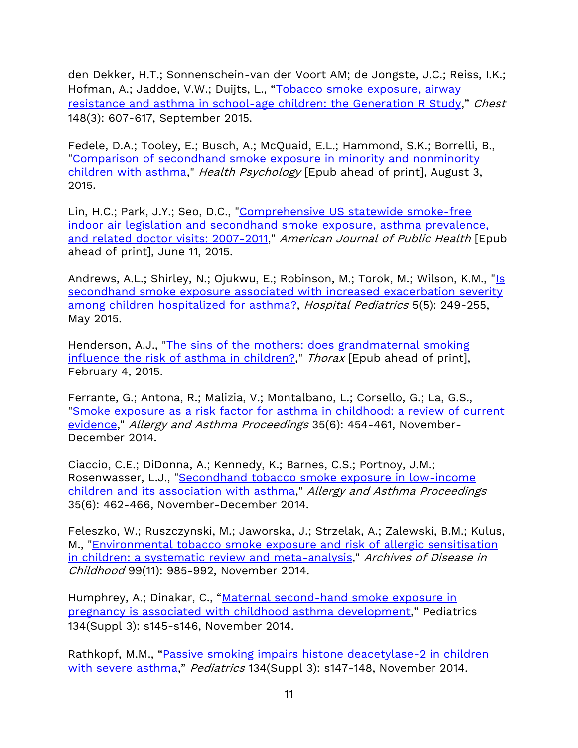den Dekker, H.T.; Sonnenschein-van der Voort AM; de Jongste, J.C.; Reiss, I.K.; Hofman, A.; Jaddoe, V.W.; Duijts, L., "[Tobacco smoke exposure, airway](https://journal.chestnet.org/article/S0012-3692(15)50638-7/fulltext)  [resistance and asthma in school-age children: the Generation R Study](https://journal.chestnet.org/article/S0012-3692(15)50638-7/fulltext)," Chest 148(3): 607-617, September 2015.

Fedele, D.A.; Tooley, E.; Busch, A.; McQuaid, E.L.; Hammond, S.K.; Borrelli, B., ["Comparison of secondhand smoke exposure in minority and nonminority](http://www.ncbi.nlm.nih.gov/pubmed/26237117)  [children with asthma,](http://www.ncbi.nlm.nih.gov/pubmed/26237117)" *Health Psychology* [Epub ahead of print], August 3, 2015.

Lin, H.C.; Park, J.Y.; Seo, D.C., "Comprehensive US statewide smoke-free [indoor air legislation and secondhand smoke exposure, asthma prevalence,](http://ajph.aphapublications.org/doi/abs/10.2105/AJPH.2015.302596?url_ver=Z39.88-2003&rfr_id=ori:rid:crossref.org&rfr_dat=cr_pub=pubmed)  [and related doctor visits: 2007-2011,](http://ajph.aphapublications.org/doi/abs/10.2105/AJPH.2015.302596?url_ver=Z39.88-2003&rfr_id=ori:rid:crossref.org&rfr_dat=cr_pub=pubmed)" American Journal of Public Health [Epub ahead of print], June 11, 2015.

Andrews, A.L.; Shirley, N.; Ojukwu, E.; Robinson, M.; Torok, M.; Wilson, K.M., ["Is](http://www.hospitalpediatrics.org/content/5/5/249.long)  [secondhand smoke exposure associated with increased exacerbation severity](http://www.hospitalpediatrics.org/content/5/5/249.long)  [among children hospitalized for asthma?,](http://www.hospitalpediatrics.org/content/5/5/249.long) Hospital Pediatrics 5(5): 249-255, May 2015.

Henderson, A.J., "The sins of the mothers: does grandmaternal smoking [influence the risk of asthma in children?,](http://thorax.bmj.com/content/70/3/207.long)" Thorax [Epub ahead of print], February 4, 2015.

Ferrante, G.; Antona, R.; Malizia, V.; Montalbano, L.; Corsello, G.; La, G.S., ["Smoke exposure as a risk factor for asthma in childhood: a review of current](http://www.ingentaconnect.com/content/ocean/aap/2014/00000035/00000006/art00005?token=004911269437a63736a6f3547464c3b666c25452e4a6f644a467b4d616d3f4e4b34a0557e)  [evidence,](http://www.ingentaconnect.com/content/ocean/aap/2014/00000035/00000006/art00005?token=004911269437a63736a6f3547464c3b666c25452e4a6f644a467b4d616d3f4e4b34a0557e)" Allergy and Asthma Proceedings 35(6): 454-461, November-December 2014.

Ciaccio, C.E.; DiDonna, A.; Kennedy, K.; Barnes, C.S.; Portnoy, J.M.; Rosenwasser, L.J., ["Secondhand tobacco smoke exposure in low-income](http://www.ncbi.nlm.nih.gov/pmc/articles/PMC4210654/)  [children and its association with asthma,](http://www.ncbi.nlm.nih.gov/pmc/articles/PMC4210654/)" Allergy and Asthma Proceedings 35(6): 462-466, November-December 2014.

Feleszko, W.; Ruszczynski, M.; Jaworska, J.; Strzelak, A.; Zalewski, B.M.; Kulus, M., ["Environmental tobacco smoke exposure and risk of allergic sensitisation](http://www.ncbi.nlm.nih.gov/pubmed/24958794)  [in children: a systematic review and meta-analysis,](http://www.ncbi.nlm.nih.gov/pubmed/24958794)" Archives of Disease in Childhood 99(11): 985-992, November 2014.

Humphrey, A.; Dinakar, C., "Maternal second-hand smoke exposure in [pregnancy is associated with childhood asthma development](http://pediatrics.aappublications.org/content/134/Supplement_3/S145.2.long)," Pediatrics 134(Suppl 3): s145-s146, November 2014.

Rathkopf, M.M., "Passive smoking impairs histone deacetylase-2 in children [with severe asthma](http://pediatrics.aappublications.org/content/134/Supplement_3/S147.long)," Pediatrics 134(Suppl 3): s147-148, November 2014.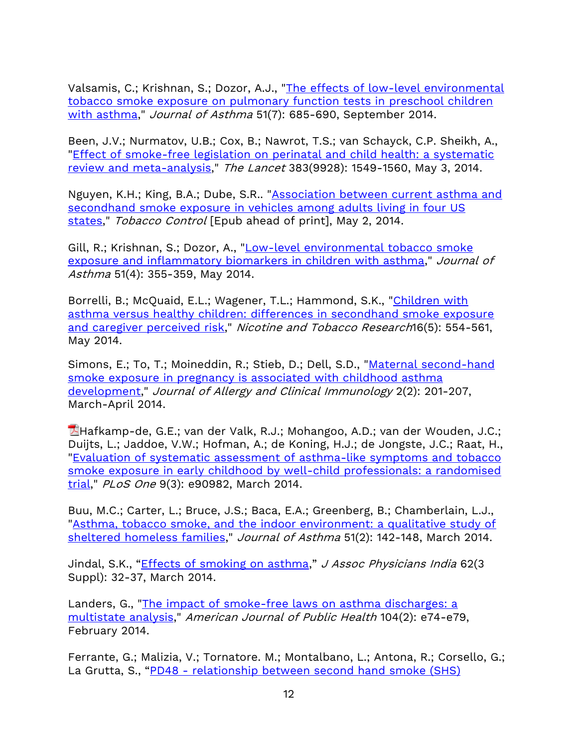Valsamis, C.; Krishnan, S.; Dozor, A.J., ["The effects of low-level environmental](http://www.ncbi.nlm.nih.gov/pubmed/24575853)  [tobacco smoke exposure on pulmonary function tests in preschool children](http://www.ncbi.nlm.nih.gov/pubmed/24575853)  [with asthma,](http://www.ncbi.nlm.nih.gov/pubmed/24575853)" Journal of Asthma 51(7): 685-690, September 2014.

Been, J.V.; Nurmatov, U.B.; Cox, B.; Nawrot, T.S.; van Schayck, C.P. Sheikh, A., "Effect of smoke-free legislation on perinatal and child health: a systematic [review and meta-analysis,](http://www.thelancet.com/journals/lancet/article/PIIS0140-6736(14)60082-9/fulltext)" The Lancet 383(9928): 1549-1560, May 3, 2014.

Nguyen, K.H.; King, B.A.; Dube, S.R.. ["Association between current asthma and](http://tobaccocontrol.bmj.com/content/early/2014/05/02/tobaccocontrol-2013-051526.abstract?sid=6921a2e6-a157-4881-89a9-9031b0375935)  secondhand smoke exposure in vehicles among adults living in four US [states,](http://tobaccocontrol.bmj.com/content/early/2014/05/02/tobaccocontrol-2013-051526.abstract?sid=6921a2e6-a157-4881-89a9-9031b0375935)" Tobacco Control [Epub ahead of print], May 2, 2014.

Gill, R.; Krishnan, S.; Dozor, A., "Low-level environmental tobacco smoke [exposure and inflammatory biomarkers in children with asthma,](http://www.ncbi.nlm.nih.gov/pubmed/24580138)" Journal of Asthma 51(4): 355-359, May 2014.

Borrelli, B.; McQuaid, E.L.; Wagener, T.L.; Hammond, S.K., "Children with [asthma versus healthy children: differences in secondhand smoke exposure](http://ntr.oxfordjournals.org/content/16/5/554.abstract.html?etoc)  [and caregiver perceived risk,](http://ntr.oxfordjournals.org/content/16/5/554.abstract.html?etoc)" Nicotine and Tobacco Research16(5): 554-561, May 2014.

Simons, E.; To, T.; Moineddin, R.; Stieb, D.; Dell, S.D., "Maternal second-hand [smoke exposure in pregnancy is associated with childhood asthma](http://www.ncbi.nlm.nih.gov/pubmed/24607049)  [development,](http://www.ncbi.nlm.nih.gov/pubmed/24607049)" Journal of Allergy and Clinical Immunology 2(2): 201-207, March-April 2014.

Hafkamp-de, G.E.; van der Valk, R.J.; Mohangoo, A.D.; van der Wouden, J.C.; Duijts, L.; Jaddoe, V.W.; Hofman, A.; de Koning, H.J.; de Jongste, J.C.; Raat, H., ["Evaluation of systematic assessment of asthma-like symptoms and tobacco](http://www.plosone.org/article/fetchObject.action?uri=info:doi/10.1371/journal.pone.0090982&representation=PDF)  [smoke exposure in early childhood by well-child professionals: a randomised](http://www.plosone.org/article/fetchObject.action?uri=info:doi/10.1371/journal.pone.0090982&representation=PDF)  [trial,](http://www.plosone.org/article/fetchObject.action?uri=info:doi/10.1371/journal.pone.0090982&representation=PDF)" PLoS One 9(3): e90982, March 2014.

Buu, M.C.; Carter, L.; Bruce, J.S.; Baca, E.A.; Greenberg, B.; Chamberlain, L.J., ["Asthma, tobacco smoke, and the indoor environment: a qualitative study of](https://doi.org/10.3109/02770903.2013.857682)  [sheltered homeless families,](https://doi.org/10.3109/02770903.2013.857682)" Journal of Asthma 51(2): 142-148, March 2014.

Jindal, S.K., "*[Effects of smoking on asthma](https://www.ncbi.nlm.nih.gov/pubmed/25327058?dopt=Abstract)," J Assoc Physicians India* 62(3) Suppl): 32-37, March 2014.

Landers, G., ["The impact of smoke-free laws on asthma discharges: a](http://ajph.aphapublications.org/doi/abs/10.2105/AJPH.2013.301697?ai=s0ui=bvjaf=T)  [multistate analysis,](http://ajph.aphapublications.org/doi/abs/10.2105/AJPH.2013.301697?ai=s0ui=bvjaf=T)" American Journal of Public Health 104(2): e74-e79, February 2014.

Ferrante, G.; Malizia, V.; Tornatore. M.; Montalbano, L.; Antona, R.; Corsello, G.; La Grutta, S., "PD48 - [relationship between second hand smoke \(SHS\)](https://www.ncbi.nlm.nih.gov/pmc/articles/PMC4082012/)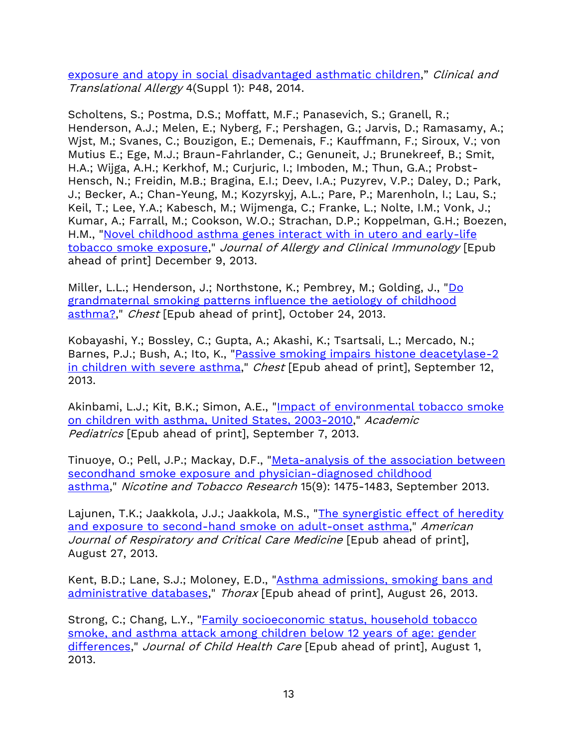[exposure and atopy in social disadvantaged asthmatic children](https://www.ncbi.nlm.nih.gov/pmc/articles/PMC4082012/)," Clinical and Translational Allergy 4(Suppl 1): P48, 2014.

Scholtens, S.; Postma, D.S.; Moffatt, M.F.; Panasevich, S.; Granell, R.; Henderson, A.J.; Melen, E.; Nyberg, F.; Pershagen, G.; Jarvis, D.; Ramasamy, A.; Wjst, M.; Svanes, C.; Bouzigon, E.; Demenais, F.; Kauffmann, F.; Siroux, V.; von Mutius E.; Ege, M.J.; Braun-Fahrlander, C.; Genuneit, J.; Brunekreef, B.; Smit, H.A.; Wijga, A.H.; Kerkhof, M.; Curjuric, I.; Imboden, M.; Thun, G.A.; Probst-Hensch, N.; Freidin, M.B.; Bragina, E.I.; Deev, I.A.; Puzyrev, V.P.; Daley, D.; Park, J.; Becker, A.; Chan-Yeung, M.; Kozyrskyj, A.L.; Pare, P.; Marenholn, I.; Lau, S.; Keil, T.; Lee, Y.A.; Kabesch, M.; Wijmenga, C.; Franke, L.; Nolte, I.M.; Vonk, J.; Kumar, A.; Farrall, M.; Cookson, W.O.; Strachan, D.P.; Koppelman, G.H.; Boezen, H.M., ["Novel childhood asthma genes interact with in utero and early-life](http://www.jacionline.org/article/S0091-6749(13)01441-3/abstract)  [tobacco smoke exposure,](http://www.jacionline.org/article/S0091-6749(13)01441-3/abstract)" Journal of Allergy and Clinical Immunology [Epub ahead of print] December 9, 2013.

Miller, L.L.; Henderson, J.; Northstone, K.; Pembrey, M.; Golding, J., ["Do](http://journal.publications.chestnet.org/article.aspx?articleid=1761386&)  [grandmaternal smoking patterns influence the aetiology of childhood](http://journal.publications.chestnet.org/article.aspx?articleid=1761386&)  [asthma?,](http://journal.publications.chestnet.org/article.aspx?articleid=1761386&)" Chest [Epub ahead of print], October 24, 2013.

Kobayashi, Y.; Bossley, C.; Gupta, A.; Akashi, K.; Tsartsali, L.; Mercado, N.; Barnes, P.J.; Bush, A.; Ito, K., "Passive smoking impairs histone deacetylase-2 [in children with severe asthma,](http://journal.publications.chestnet.org/article.aspx?articleid=1736968)" Chest [Epub ahead of print], September 12, 2013.

Akinbami, L.J.; Kit, B.K.; Simon, A.E., "Impact of environmental tobacco smoke on children with [asthma, United States, 2003-2010,](http://www.sciencedirect.com/science/article/pii/S1876285913002040)" Academic Pediatrics [Epub ahead of print], September 7, 2013.

Tinuoye, O.; Pell, J.P.; Mackay, D.F., ["Meta-analysis of the association between](http://ntr.oxfordjournals.org/content/15/9/1475.abstract.html?etoc)  [secondhand smoke exposure and physician-diagnosed childhood](http://ntr.oxfordjournals.org/content/15/9/1475.abstract.html?etoc)  [asthma,](http://ntr.oxfordjournals.org/content/15/9/1475.abstract.html?etoc)" Nicotine and Tobacco Research 15(9): 1475-1483, September 2013.

Lajunen, T.K.; Jaakkola, J.J.; Jaakkola, M.S., "The synergistic effect of heredity [and exposure to second-hand smoke on adult-onset asthma,](http://www.ncbi.nlm.nih.gov/pubmed/23981189?dopt=Abstract)" American Journal of Respiratory and Critical Care Medicine [Epub ahead of print], August 27, 2013.

Kent, B.D.; Lane, S.J.; Moloney, E.D., ["Asthma admissions, smoking bans and](http://thorax.bmj.com/content/early/2013/08/26/thoraxjnl-2013-204183.extract)  [administrative databases,](http://thorax.bmj.com/content/early/2013/08/26/thoraxjnl-2013-204183.extract)" Thorax [Epub ahead of print], August 26, 2013.

Strong, C.; Chang, L.Y., ["Family socioeconomic status, household tobacco](http://www.ncbi.nlm.nih.gov/pubmed/23908368)  [smoke, and asthma attack among children below 12 years of age: gender](http://www.ncbi.nlm.nih.gov/pubmed/23908368)  [differences,](http://www.ncbi.nlm.nih.gov/pubmed/23908368)" Journal of Child Health Care [Epub ahead of print], August 1, 2013.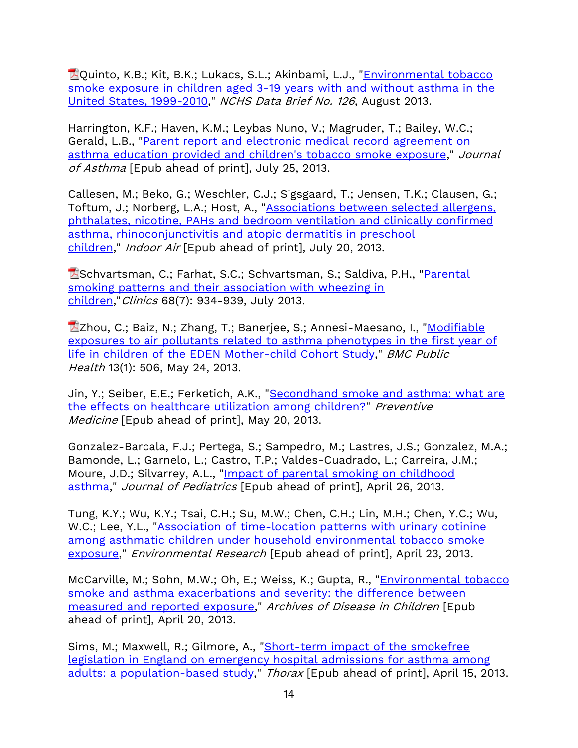**Z**Quinto, K.B.; Kit, B.K.; Lukacs, S.L.; Akinbami, L.J., "Environmental tobacco [smoke exposure in children aged 3-19 years with and without asthma in the](http://www.cdc.gov/nchs/data/databriefs/db126.pdf)  [United States, 1999-2010,](http://www.cdc.gov/nchs/data/databriefs/db126.pdf)" NCHS Data Brief No. 126, August 2013.

Harrington, K.F.; Haven, K.M.; Leybas Nuno, V.; Magruder, T.; Bailey, W.C.; Gerald, L.B., ["Parent report and electronic medical record agreement on](http://www.ncbi.nlm.nih.gov/pubmed/23883356)  [asthma education provided and children's tobacco smoke exposure,](http://www.ncbi.nlm.nih.gov/pubmed/23883356)" Journal of Asthma [Epub ahead of print], July 25, 2013.

Callesen, M.; Beko, G.; Weschler, C.J.; Sigsgaard, T.; Jensen, T.K.; Clausen, G.; Toftum, J.; Norberg, L.A.; Host, A., ["Associations between selected allergens,](http://onlinelibrary.wiley.com/doi/10.1111/ina.12060/abstract;jsessionid=C54A5D00BC42960D42AB01A595B0D586.f01t03)  [phthalates, nicotine, PAHs and bedroom ventilation and clinically confirmed](http://onlinelibrary.wiley.com/doi/10.1111/ina.12060/abstract;jsessionid=C54A5D00BC42960D42AB01A595B0D586.f01t03)  [asthma, rhinoconjunctivitis and atopic dermatitis in preschool](http://onlinelibrary.wiley.com/doi/10.1111/ina.12060/abstract;jsessionid=C54A5D00BC42960D42AB01A595B0D586.f01t03)  [children,](http://onlinelibrary.wiley.com/doi/10.1111/ina.12060/abstract;jsessionid=C54A5D00BC42960D42AB01A595B0D586.f01t03)" *Indoor Air* [Epub ahead of print], July 20, 2013.

Schvartsman, C.; Farhat, S.C.; Schvartsman, S.; Saldiva, P.H., ["Parental](http://www.scielo.br/pdf/clin/v68n7/1807-5932-clin-68-07-934.pdf)  [smoking patterns and their association with wheezing in](http://www.scielo.br/pdf/clin/v68n7/1807-5932-clin-68-07-934.pdf)  [children,](http://www.scielo.br/pdf/clin/v68n7/1807-5932-clin-68-07-934.pdf)"Clinics 68(7): 934-939, July 2013.

**Zhou, C.; Baiz, N.; Zhang, T.; Banerjee, S.; Annesi-Maesano, I., "Modifiable** [exposures to air pollutants related to asthma phenotypes in the first year of](http://www.biomedcentral.com/content/pdf/1471-2458-13-506.pdf)  [life in children of the EDEN Mother-child Cohort Study,](http://www.biomedcentral.com/content/pdf/1471-2458-13-506.pdf)" BMC Public Health 13(1): 506, May 24, 2013.

Jin, Y.; Seiber, E.E.; Ferketich, A.K., "Secondhand smoke and asthma: what are [the effects on healthcare utilization among children?"](http://www.ncbi.nlm.nih.gov/pubmed/23701846) Preventive Medicine [Epub ahead of print], May 20, 2013.

Gonzalez-Barcala, F.J.; Pertega, S.; Sampedro, M.; Lastres, J.S.; Gonzalez, M.A.; Bamonde, L.; Garnelo, L.; Castro, T.P.; Valdes-Cuadrado, L.; Carreira, J.M.; Moure, J.D.; Silvarrey, A.L., ["Impact of parental smoking on childhood](http://www.ncbi.nlm.nih.gov/pubmed/23684453)  [asthma,](http://www.ncbi.nlm.nih.gov/pubmed/23684453)" Journal of Pediatrics [Epub ahead of print], April 26, 2013.

Tung, K.Y.; Wu, K.Y.; Tsai, C.H.; Su, M.W.; Chen, C.H.; Lin, M.H.; Chen, Y.C.; Wu, W.C.; Lee, Y.L., ["Association of time-location patterns with urinary cotinine](http://www.sciencedirect.com/science/article/pii/S0013935113000613)  [among asthmatic children under household environmental tobacco smoke](http://www.sciencedirect.com/science/article/pii/S0013935113000613)  [exposure,](http://www.sciencedirect.com/science/article/pii/S0013935113000613)" Environmental Research [Epub ahead of print], April 23, 2013.

McCarville, M.; Sohn, M.W.; Oh, E.; Weiss, K.; Gupta, R., ["Environmental tobacco](http://www.ncbi.nlm.nih.gov/pubmed/23606711)  [smoke and asthma exacerbations and severity: the difference between](http://www.ncbi.nlm.nih.gov/pubmed/23606711)  [measured and reported exposure,](http://www.ncbi.nlm.nih.gov/pubmed/23606711)" Archives of Disease in Children [Epub ahead of print], April 20, 2013.

Sims, M.; Maxwell, R.; Gilmore, A., "Short-term impact of the smokefree [legislation in England on emergency hospital admissions for asthma among](http://thorax.bmj.com/content/early/2013/03/21/thoraxjnl-2012-202841.abstract)  [adults: a population-based study,](http://thorax.bmj.com/content/early/2013/03/21/thoraxjnl-2012-202841.abstract)" Thorax [Epub ahead of print], April 15, 2013.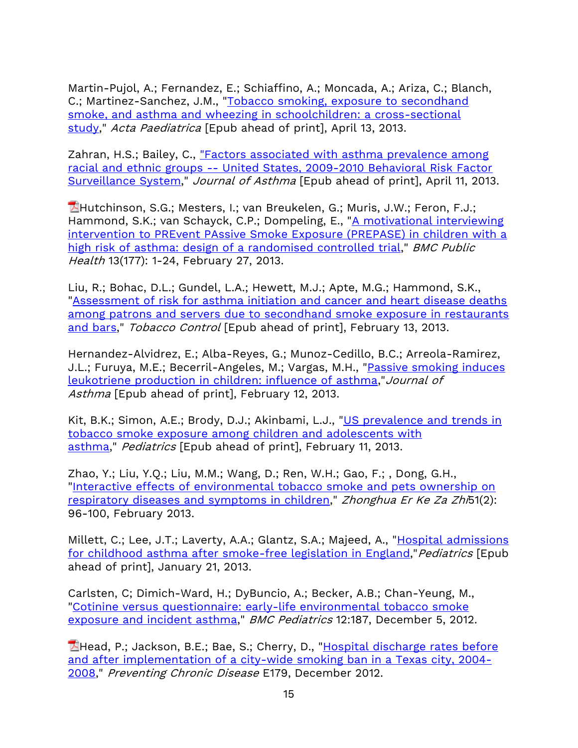Martin-Pujol, A.; Fernandez, E.; Schiaffino, A.; Moncada, A.; Ariza, C.; Blanch, C.; Martinez-Sanchez, J.M., ["Tobacco smoking, exposure to secondhand](http://www.ncbi.nlm.nih.gov/pubmed/23581609)  [smoke, and asthma and wheezing in schoolchildren: a cross-sectional](http://www.ncbi.nlm.nih.gov/pubmed/23581609)  [study,](http://www.ncbi.nlm.nih.gov/pubmed/23581609)" Acta Paediatrica [Epub ahead of print], April 13, 2013.

Zahran, H.S.; Bailey, C., "Factors associated with asthma prevalence among racial and ethnic groups -- [United States, 2009-2010 Behavioral Risk Factor](http://informahealthcare.com/doi/abs/10.3109/02770903.2013.794238)  [Surveillance System,](http://informahealthcare.com/doi/abs/10.3109/02770903.2013.794238)" Journal of Asthma [Epub ahead of print], April 11, 2013.

**Hutchinson, S.G.; Mesters, I.; van Breukelen, G.; Muris, J.W.; Feron, F.J.;** Hammond, S.K.; van Schayck, C.P.; Dompeling, E., ["A motivational interviewing](http://www.biomedcentral.com/content/pdf/1471-2458-13-177.pdf)  [intervention to PREvent PAssive Smoke Exposure \(PREPASE\) in children with a](http://www.biomedcentral.com/content/pdf/1471-2458-13-177.pdf)  [high risk of asthma: design of a randomised controlled trial,](http://www.biomedcentral.com/content/pdf/1471-2458-13-177.pdf)" BMC Public Health 13(177): 1-24, February 27, 2013.

Liu, R.; Bohac, D.L.; Gundel, L.A.; Hewett, M.J.; Apte, M.G.; Hammond, S.K., ["Assessment of risk for asthma initiation and cancer and heart disease deaths](http://tobaccocontrol.bmj.com/content/early/2013/02/12/tobaccocontrol-2012-050831.long)  [among patrons and servers due to secondhand smoke exposure in restaurants](http://tobaccocontrol.bmj.com/content/early/2013/02/12/tobaccocontrol-2012-050831.long)  [and bars,](http://tobaccocontrol.bmj.com/content/early/2013/02/12/tobaccocontrol-2012-050831.long)" Tobacco Control [Epub ahead of print], February 13, 2013.

Hernandez-Alvidrez, E.; Alba-Reyes, G.; Munoz-Cedillo, B.C.; Arreola-Ramirez, J.L.; Furuya, M.E.; Becerril-Angeles, M.; Vargas, M.H., "Passive smoking induces [leukotriene production in children: influence of asthma,](http://www.ncbi.nlm.nih.gov/pubmed/23398266)"Journal of Asthma [Epub ahead of print], February 12, 2013.

Kit, B.K.; Simon, A.E.; Brody, D.J.; Akinbami, L.J., "US prevalence and trends in [tobacco smoke exposure among children and adolescents with](http://www.ncbi.nlm.nih.gov/pubmed/23400612)  [asthma,](http://www.ncbi.nlm.nih.gov/pubmed/23400612)" Pediatrics [Epub ahead of print], February 11, 2013.

Zhao, Y.; Liu, Y.Q.; Liu, M.M.; Wang, D.; Ren, W.H.; Gao, F.; , Dong, G.H., ["Interactive effects of environmental tobacco smoke and pets ownership on](http://www.ncbi.nlm.nih.gov/pubmed/23527969?dopt=Abstract)  [respiratory diseases and symptoms in children,](http://www.ncbi.nlm.nih.gov/pubmed/23527969?dopt=Abstract)" Zhonghua Er Ke Za Zhi51(2): 96-100, February 2013.

Millett, C.; Lee, J.T.; Laverty, A.A.; Glantz, S.A.; Majeed, A., "Hospital admissions [for childhood asthma after smoke-free legislation in England,](http://www.ncbi.nlm.nih.gov/pubmed/23339216)"Pediatrics [Epub ahead of print], January 21, 2013.

Carlsten, C; Dimich-Ward, H.; DyBuncio, A.; Becker, A.B.; Chan-Yeung, M., ["Cotinine versus questionnaire: early-life environmental tobacco smoke](http://7thspace.com/headlines/427454/cotinine_versus_questionnaire_early_life_environmental_tobacco_smoke_exposure_and_incident_asthma.html)  [exposure and incident asthma,](http://7thspace.com/headlines/427454/cotinine_versus_questionnaire_early_life_environmental_tobacco_smoke_exposure_and_incident_asthma.html)" BMC Pediatrics 12:187, December 5, 2012.

Head, P.; Jackson, B.E.; Bae, S.; Cherry, D., "Hospital discharge rates before [and after implementation of a city-wide smoking ban in a Texas city, 2004-](http://www.cdc.gov/pcd/issues/2012/pdf/12_0079.pdf) [2008,](http://www.cdc.gov/pcd/issues/2012/pdf/12_0079.pdf)" Preventing Chronic Disease E179, December 2012.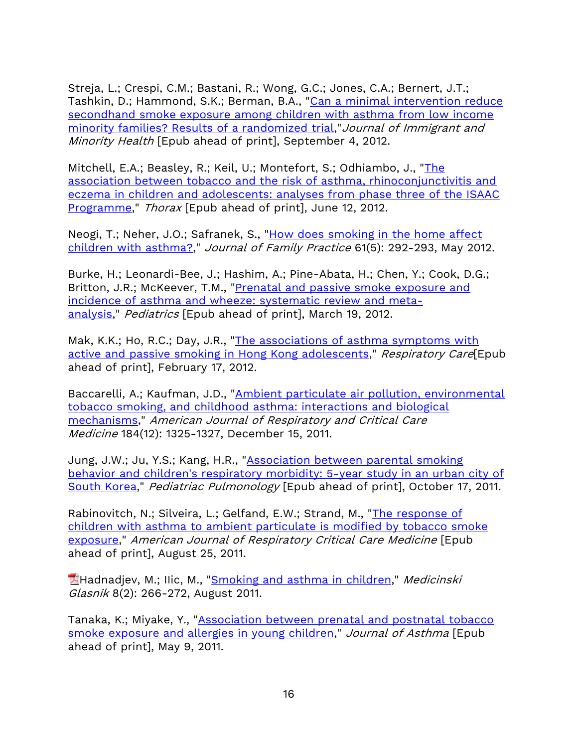Streja, L.; Crespi, C.M.; Bastani, R.; Wong, G.C.; Jones, C.A.; Bernert, J.T.; Tashkin, D.; Hammond, S.K.; Berman, B.A., "Can a minimal intervention reduce secondhand smoke exposure among children with asthma from low income [minority families? Results of a randomized trial,](http://link.springer.com/article/10.1007/s10903-012-9713-4?LI=true)"Journal of Immigrant and Minority Health [Epub ahead of print], September 4, 2012.

Mitchell, E.A.; Beasley, R.; Keil, U.; Montefort, S.; Odhiambo, J., ["The](http://www.ncbi.nlm.nih.gov/pubmed/22693180)  [association between tobacco and the risk of asthma, rhinoconjunctivitis and](http://www.ncbi.nlm.nih.gov/pubmed/22693180)  [eczema in children and adolescents: analyses from phase three of the ISAAC](http://www.ncbi.nlm.nih.gov/pubmed/22693180)  [Programme,](http://www.ncbi.nlm.nih.gov/pubmed/22693180)" Thorax [Epub ahead of print], June 12, 2012.

Neogi, T.; Neher, J.O.; Safranek, S., "How does smoking in the home affect [children with asthma?,](http://www.jfponline.com/pages.asp?id=10444)" Journal of Family Practice 61(5): 292-293, May 2012.

Burke, H.; Leonardi-Bee, J.; Hashim, A.; Pine-Abata, H.; Chen, Y.; Cook, D.G.; Britton, J.R.; McKeever, T.M., ["Prenatal and passive smoke exposure and](http://pediatrics.aappublications.org/content/129/4/735.short)  [incidence of asthma and wheeze: systematic review and meta](http://pediatrics.aappublications.org/content/129/4/735.short)[analysis,](http://pediatrics.aappublications.org/content/129/4/735.short)" Pediatrics [Epub ahead of print], March 19, 2012.

Mak, K.K.; Ho, R.C.; Day, J.R., ["The associations of asthma symptoms with](http://www.ncbi.nlm.nih.gov/pubmed/22348876)  [active and passive smoking in Hong Kong adolescents,](http://www.ncbi.nlm.nih.gov/pubmed/22348876)" Respiratory Care[Epub ahead of print], February 17, 2012.

Baccarelli, A.; Kaufman, J.D., "Ambient particulate air pollution, environmental [tobacco smoking, and childhood asthma: interactions and biological](http://ajrccm.atsjournals.org/content/184/12/1325.long)  [mechanisms,](http://ajrccm.atsjournals.org/content/184/12/1325.long)" American Journal of Respiratory and Critical Care Medicine 184(12): 1325-1327, December 15, 2011.

Jung, J.W.; Ju, Y.S.; Kang, H.R., ["Association between parental smoking](http://onlinelibrary.wiley.com/doi/10.1002/ppul.21556/full)  [behavior and children's respiratory morbidity: 5-year study in an urban city of](http://onlinelibrary.wiley.com/doi/10.1002/ppul.21556/full)  [South Korea,](http://onlinelibrary.wiley.com/doi/10.1002/ppul.21556/full)" Pediatriac Pulmonology [Epub ahead of print], October 17, 2011.

Rabinovitch, N.; Silveira, L.; Gelfand, E.W.; Strand, M., ["The response of](http://ajrccm.atsjournals.org/content/184/12/1350.abstract)  [children with asthma to ambient particulate is modified by tobacco smoke](http://ajrccm.atsjournals.org/content/184/12/1350.abstract)  [exposure,](http://ajrccm.atsjournals.org/content/184/12/1350.abstract)" American Journal of Respiratory Critical Care Medicine [Epub ahead of print], August 25, 2011.

**Hadnadjev, M.; Ilic, M., ["Smoking and asthma in children,](http://www.ljkzedo.com.ba/medglasnik/vol72/vol82/MGvol82.2011_16.pdf)" Medicinski** Glasnik 8(2): 266-272, August 2011.

Tanaka, K.; Miyake, Y., ["Association between prenatal and postnatal tobacco](http://informahealthcare.com/doi/abs/10.3109/02770903.2011.578314)  [smoke exposure and allergies in young children,](http://informahealthcare.com/doi/abs/10.3109/02770903.2011.578314)" Journal of Asthma [Epub ahead of print], May 9, 2011.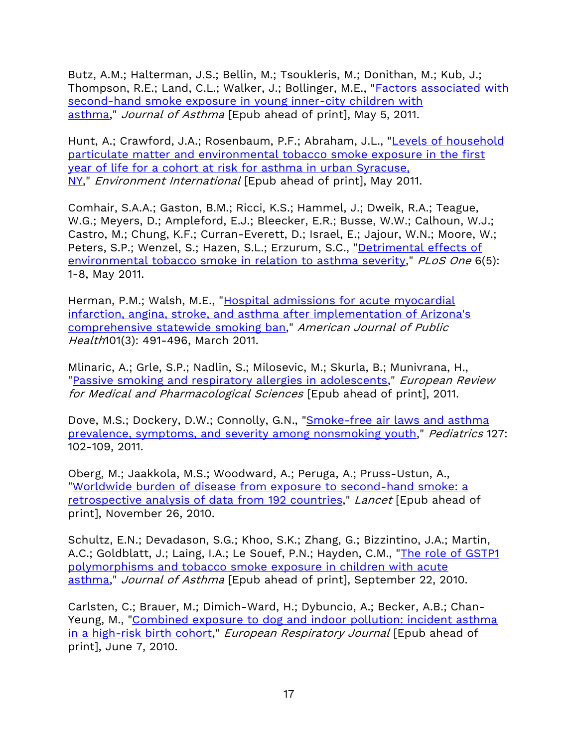Butz, A.M.; Halterman, J.S.; Bellin, M.; Tsoukleris, M.; Donithan, M.; Kub, J.; Thompson, R.E.; Land, C.L.; Walker, J.; Bollinger, M.E., "**Factors associated with** [second-hand smoke exposure in young inner-city children with](http://informahealthcare.com/doi/abs/10.3109/02770903.2011.576742)  [asthma,](http://informahealthcare.com/doi/abs/10.3109/02770903.2011.576742)" Journal of Asthma [Epub ahead of print], May 5, 2011.

Hunt, A.; Crawford, J.A.; Rosenbaum, P.F.; Abraham, J.L., ["Levels of household](http://ukpmc.ac.uk/abstract/MED/21620473)  [particulate matter and environmental tobacco smoke exposure in the first](http://ukpmc.ac.uk/abstract/MED/21620473)  [year of life for a cohort at risk for asthma in urban Syracuse,](http://ukpmc.ac.uk/abstract/MED/21620473)  [NY,](http://ukpmc.ac.uk/abstract/MED/21620473)" *Environment International* [Epub ahead of print], May 2011.

Comhair, S.A.A.; Gaston, B.M.; Ricci, K.S.; Hammel, J.; Dweik, R.A.; Teague, W.G.; Meyers, D.; Ampleford, E.J.; Bleecker, E.R.; Busse, W.W.; Calhoun, W.J.; Castro, M.; Chung, K.F.; Curran-Everett, D.; Israel, E.; Jajour, W.N.; Moore, W.; Peters, S.P.; Wenzel, S.; Hazen, S.L.; Erzurum, S.C., "Detrimental effects of [environmental tobacco smoke in relation to asthma severity,](http://www.plosone.org/article/info:doi/10.1371/journal.pone.0018574)" PLoS One 6(5): 1-8, May 2011.

Herman, P.M.; Walsh, M.E., ["Hospital admissions for acute myocardial](http://ajph.aphapublications.org/doi/abs/10.2105/AJPH.2009.179572)  [infarction, angina, stroke, and asthma after implementation of Arizona's](http://ajph.aphapublications.org/doi/abs/10.2105/AJPH.2009.179572)  comprehensive [statewide smoking ban,](http://ajph.aphapublications.org/doi/abs/10.2105/AJPH.2009.179572)" American Journal of Public Health101(3): 491-496, March 2011.

Mlinaric, A.; Grle, S.P.; Nadlin, S.; Milosevic, M.; Skurla, B.; Munivrana, H., ["Passive smoking and respiratory allergies in adolescents,](http://www.ncbi.nlm.nih.gov/pubmed/21845810)" *European Review* for Medical and Pharmacological Sciences [Epub ahead of print], 2011.

Dove, M.S.; Dockery, D.W.; Connolly, G.N., "Smoke-free air laws and asthma [prevalence, symptoms, and severity among nonsmoking youth,](http://pediatrics.aappublications.org/content/127/1/102.short)" Pediatrics 127: 102-109, 2011.

Oberg, M.; Jaakkola, M.S.; Woodward, A.; Peruga, A.; Pruss-Ustun, A., ["Worldwide burden of disease from exposure to second-hand smoke: a](http://www.thelancet.com/journals/lancet/article/PIIS0140-6736(10)61388-8/fulltext)  [retrospective analysis of data from 192 countries,](http://www.thelancet.com/journals/lancet/article/PIIS0140-6736(10)61388-8/fulltext)" Lancet [Epub ahead of print], November 26, 2010.

Schultz, E.N.; Devadason, S.G.; Khoo, S.K.; Zhang, G.; Bizzintino, J.A.; Martin, A.C.; Goldblatt, J.; Laing, I.A.; Le Souef, P.N.; Hayden, C.M., "The role of GSTP1 [polymorphisms and tobacco smoke exposure in children with acute](http://informahealthcare.com/doi/abs/10.1080/02770903.2010.508856)  [asthma,](http://informahealthcare.com/doi/abs/10.1080/02770903.2010.508856)" Journal of Asthma [Epub ahead of print], September 22, 2010.

Carlsten, C.; Brauer, M.; Dimich-Ward, H.; Dybuncio, A.; Becker, A.B.; Chan-Yeung, M., ["Combined exposure to dog and indoor pollution: incident asthma](http://www.ersj.org.uk/content/37/2/324.short)  [in a high-risk birth cohort,](http://www.ersj.org.uk/content/37/2/324.short)" European Respiratory Journal [Epub ahead of print], June 7, 2010.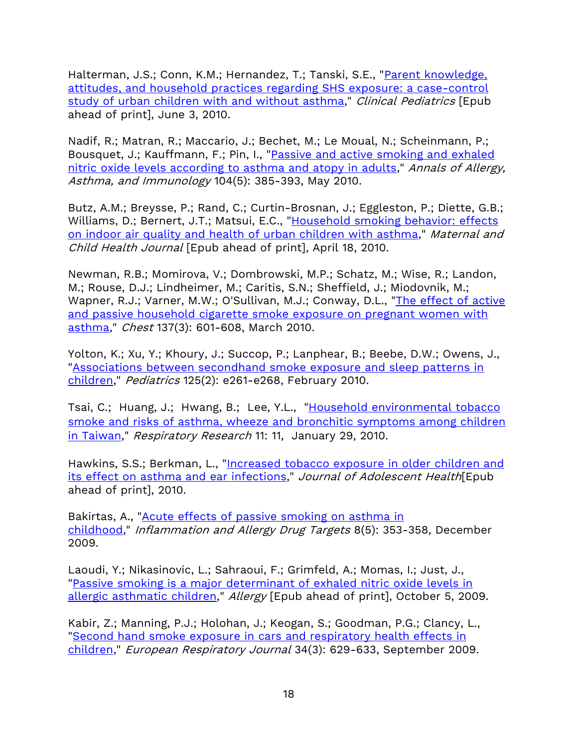Halterman, J.S.; Conn, K.M.; Hernandez, T.; Tanski, S.E., "Parent knowledge, [attitudes, and household practices regarding SHS exposure: a case-control](http://cpj.sagepub.com/content/49/8/782.short)  [study of urban children with and without asthma,](http://cpj.sagepub.com/content/49/8/782.short)" Clinical Pediatrics [Epub ahead of print], June 3, 2010.

Nadif, R.; Matran, R.; Maccario, J.; Bechet, M.; Le Moual, N.; Scheinmann, P.; Bousquet, J.; Kauffmann, F.; Pin, I., ["Passive and active smoking and exhaled](http://www.annallergy.org/article/S1081-1206(10)00380-7/abstract)  [nitric oxide levels according to asthma and atopy in adults,](http://www.annallergy.org/article/S1081-1206(10)00380-7/abstract)" Annals of Allergy, Asthma, and Immunology 104(5): 385-393, May 2010.

Butz, A.M.; Breysse, P.; Rand, C.; Curtin-Brosnan, J.; Eggleston, P.; Diette, G.B.; Williams, D.; Bernert, J.T.; Matsui, E.C., ["Household smoking behavior: effects](http://www.springerlink.com/content/h188h88118728446/)  [on indoor air quality and health of urban children with asthma,](http://www.springerlink.com/content/h188h88118728446/)" Maternal and Child Health Journal [Epub ahead of print], April 18, 2010.

Newman, R.B.; Momirova, V.; Dombrowski, M.P.; Schatz, M.; Wise, R.; Landon, M.; Rouse, D.J.; Lindheimer, M.; Caritis, S.N.; Sheffield, J.; Miodovnik, M.; Wapner, R.J.; Varner, M.W.; O'Sullivan, M.J.; Conway, D.L., ["The effect of active](http://chestjournal.chestpubs.org/content/137/3/601.short)  [and passive household cigarette smoke exposure on pregnant women with](http://chestjournal.chestpubs.org/content/137/3/601.short)  [asthma,](http://chestjournal.chestpubs.org/content/137/3/601.short)" Chest 137(3): 601-608, March 2010.

Yolton, K.; Xu, Y.; Khoury, J.; Succop, P.; Lanphear, B.; Beebe, D.W.; Owens, J., ["Associations between secondhand smoke exposure and sleep patterns in](http://pediatrics.aappublications.org/content/125/2/e261.short)  [children,](http://pediatrics.aappublications.org/content/125/2/e261.short)" Pediatrics 125(2): e261-e268, February 2010.

Tsai, C.; Huang, J.; Hwang, B.; Lee, Y.L., "Household environmental tobacco [smoke and risks of asthma, wheeze and bronchitic symptoms among children](https://respiratory-research.biomedcentral.com/articles/10.1186/1465-9921-11-11)  [in Taiwan,](https://respiratory-research.biomedcentral.com/articles/10.1186/1465-9921-11-11)" Respiratory Research 11: 11, January 29, 2010.

Hawkins, S.S.; Berkman, L., "Increased tobacco exposure in older children and [its effect on asthma and ear infections,](http://www.sciencedirect.com/science/article/pii/S1054139X10004854)" Journal of Adolescent Health [Epub ahead of print], 2010.

Bakirtas, A., "**Acute effects of passive smoking on asthma in** [childhood,](http://www.ingentaconnect.com/content/ben/iadt/2009/00000008/00000005/art00007)" Inflammation and Allergy Drug Targets 8(5): 353-358, December 2009.

Laoudi, Y.; Nikasinovic, L.; Sahraoui, F.; Grimfeld, A.; Momas, I.; Just, J., ["Passive smoking is a major determinant of exhaled nitric oxide levels in](http://onlinelibrary.wiley.com/doi/10.1111/j.1398-9995.2009.02190.x/full)  [allergic asthmatic children,](http://onlinelibrary.wiley.com/doi/10.1111/j.1398-9995.2009.02190.x/full)" Allergy [Epub ahead of print], October 5, 2009.

Kabir, Z.; Manning, P.J.; Holohan, J.; Keogan, S.; Goodman, P.G.; Clancy, L., "Second hand smoke exposure [in cars and respiratory health effects in](http://www.ncbi.nlm.nih.gov/pubmed/19357146?ordinalpos=23&itool=EntrezSystem2.PEntrez.Pubmed.Pubmed_ResultsPanel.Pubmed_RVBrief)  [children,](http://www.ncbi.nlm.nih.gov/pubmed/19357146?ordinalpos=23&itool=EntrezSystem2.PEntrez.Pubmed.Pubmed_ResultsPanel.Pubmed_RVBrief)" European Respiratory Journal 34(3): 629-633, September 2009.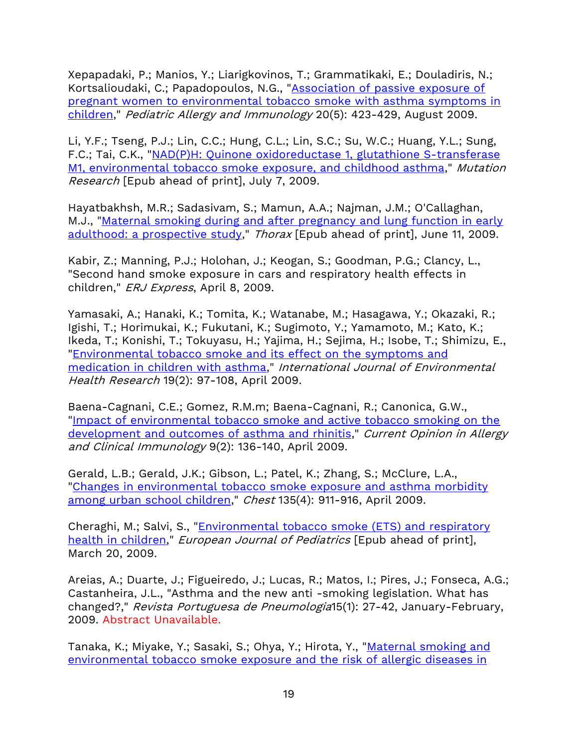Xepapadaki, P.; Manios, Y.; Liarigkovinos, T.; Grammatikaki, E.; Douladiris, N.; Kortsalioudaki, C.; Papadopoulos, N.G., "Association of passive exposure of [pregnant women to environmental tobacco smoke with asthma symptoms in](http://onlinelibrary.wiley.com/doi/10.1111/j.1399-3038.2008.00820.x/full)  [children,](http://onlinelibrary.wiley.com/doi/10.1111/j.1399-3038.2008.00820.x/full)" Pediatric Allergy and Immunology 20(5): 423-429, August 2009.

Li, Y.F.; Tseng, P.J.; Lin, C.C.; Hung, C.L.; Lin, S.C.; Su, W.C.; Huang, Y.L.; Sung, F.C.; Tai, C.K., "NAD(P)H: Quinone oxidoreductase 1, glutathione S-transferase [M1, environmental tobacco smoke exposure, and childhood asthma,](http://www.sciencedirect.com/science/article/pii/S1383571809002113)" Mutation Research [Epub ahead of print], July 7, 2009.

Hayatbakhsh, M.R.; Sadasivam, S.; Mamun, A.A.; Najman, J.M.; O'Callaghan, M.J., ["Maternal smoking during and after pregnancy and lung function in early](http://thorax.bmj.com/content/64/9/810.short)  [adulthood: a prospective study,](http://thorax.bmj.com/content/64/9/810.short)" Thorax [Epub ahead of print], June 11, 2009.

Kabir, Z.; Manning, P.J.; Holohan, J.; Keogan, S.; Goodman, P.G.; Clancy, L., "Second hand smoke exposure in cars and respiratory health effects in children," ERJ Express, April 8, 2009.

Yamasaki, A.; Hanaki, K.; Tomita, K.; Watanabe, M.; Hasagawa, Y.; Okazaki, R.; Igishi, T.; Horimukai, K.; Fukutani, K.; Sugimoto, Y.; Yamamoto, M.; Kato, K.; Ikeda, T.; Konishi, T.; Tokuyasu, H.; Yajima, H.; Sejima, H.; Isobe, T.; Shimizu, E., ["Environmental tobacco smoke and its effect on the symptoms and](http://www.tandfonline.com/doi/abs/10.1080/09603120802392884)  [medication in children with asthma,](http://www.tandfonline.com/doi/abs/10.1080/09603120802392884)" International Journal of Environmental Health Research 19(2): 97-108, April 2009.

Baena-Cagnani, C.E.; Gomez, R.M.m; Baena-Cagnani, R.; Canonica, G.W., ["Impact of environmental tobacco smoke and active tobacco smoking on the](http://journals.lww.com/co-allergy/Fulltext/2009/04000/Impact_of_environmental_tobacco_smoke_and_active.10.aspx?WT.mc_id=HPxADx20100319xMP)  [development and outcomes of asthma and rhinitis,](http://journals.lww.com/co-allergy/Fulltext/2009/04000/Impact_of_environmental_tobacco_smoke_and_active.10.aspx?WT.mc_id=HPxADx20100319xMP)" Current Opinion in Allergy and Clinical Immunology 9(2): 136-140, April 2009.

Gerald, L.B.; Gerald, J.K.; Gibson, L.; Patel, K.; Zhang, S.; McClure, L.A., ["Changes in environmental tobacco smoke exposure and asthma morbidity](http://chestjournal.chestpubs.org/content/135/4/911.short)  [among urban school children,](http://chestjournal.chestpubs.org/content/135/4/911.short)" Chest 135(4): 911-916, April 2009.

Cheraghi, M.; Salvi, S., ["Environmental tobacco smoke \(ETS\) and respiratory](http://www.springerlink.com/content/rx7g18hn07530286/)  [health in children,](http://www.springerlink.com/content/rx7g18hn07530286/)" European Journal of Pediatrics [Epub ahead of print], March 20, 2009.

Areias, A.; Duarte, J.; Figueiredo, J.; Lucas, R.; Matos, I.; Pires, J.; Fonseca, A.G.; Castanheira, J.L., "Asthma and the new anti -smoking legislation. What has changed?," Revista Portuguesa de Pneumologia15(1): 27-42, January-February, 2009. Abstract Unavailable.

Tanaka, K.; Miyake, Y.; Sasaki, S.; Ohya, Y.; Hirota, Y., "Maternal smoking and [environmental tobacco smoke exposure and the risk of allergic diseases in](http://informahealthcare.com/doi/abs/10.1080/02770900802339742)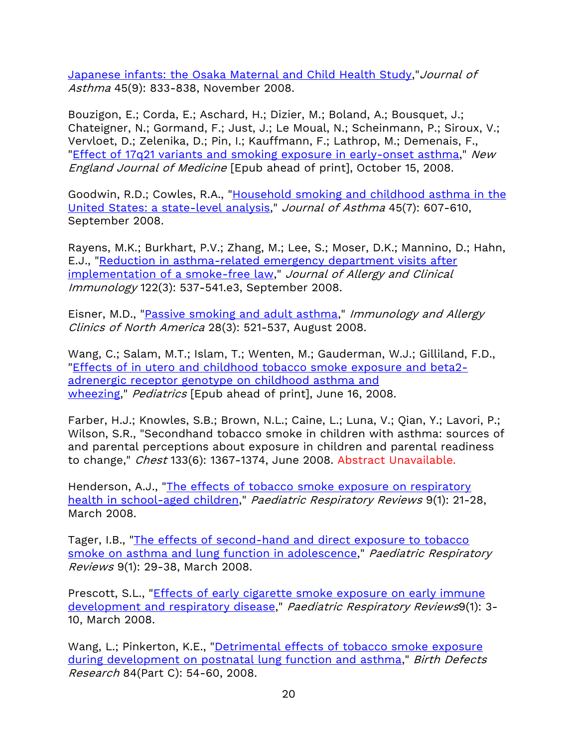[Japanese infants: the Osaka Maternal and Child Health Study,](http://informahealthcare.com/doi/abs/10.1080/02770900802339742)"Journal of Asthma 45(9): 833-838, November 2008.

Bouzigon, E.; Corda, E.; Aschard, H.; Dizier, M.; Boland, A.; Bousquet, J.; Chateigner, N.; Gormand, F.; Just, J.; Le Moual, N.; Scheinmann, P.; Siroux, V.; Vervloet, D.; Zelenika, D.; Pin, I.; Kauffmann, F.; Lathrop, M.; Demenais, F., ["Effect of 17q21 variants and smoking exposure in early-onset asthma,](http://www.nejm.org/doi/full/10.1056/NEJMoa0806604)" New England Journal of Medicine [Epub ahead of print], October 15, 2008.

Goodwin, R.D.; Cowles, R.A., ["Household smoking and childhood asthma in the](http://informahealthcare.com/doi/abs/10.1080/02770900802126982)  [United States: a state-level analysis,](http://informahealthcare.com/doi/abs/10.1080/02770900802126982)" Journal of Asthma 45(7): 607-610, September 2008.

Rayens, M.K.; Burkhart, P.V.; Zhang, M.; Lee, S.; Moser, D.K.; Mannino, D.; Hahn, E.J., ["Reduction in asthma-related emergency department visits after](http://www.sciencedirect.com/science/article/pii/S0091674908011780)  [implementation of a smoke-free law,](http://www.sciencedirect.com/science/article/pii/S0091674908011780)" Journal of Allergy and Clinical Immunology 122(3): 537-541.e3, September 2008.

Eisner, M.D., ["Passive smoking and adult asthma,](http://linkinghub.elsevier.com/retrieve/pii/S0889856108000337?via=sd)" Immunology and Allergy Clinics of North America 28(3): 521-537, August 2008.

Wang, C.; Salam, M.T.; Islam, T.; Wenten, M.; Gauderman, W.J.; Gilliland, F.D., ["Effects of in utero and childhood tobacco smoke exposure and beta2](http://no-smoke.org/pediatrics.aappublications.org/content/122/1/e107.short) [adrenergic receptor genotype on childhood asthma and](http://no-smoke.org/pediatrics.aappublications.org/content/122/1/e107.short)  [wheezing,](http://no-smoke.org/pediatrics.aappublications.org/content/122/1/e107.short)" Pediatrics [Epub ahead of print], June 16, 2008.

Farber, H.J.; Knowles, S.B.; Brown, N.L.; Caine, L.; Luna, V.; Qian, Y.; Lavori, P.; Wilson, S.R., "Secondhand tobacco smoke in children with asthma: sources of and parental perceptions about exposure in children and parental readiness to change," Chest 133(6): 1367-1374, June 2008. Abstract Unavailable.

Henderson, A.J., "The effects of tobacco smoke exposure on respiratory [health in school-aged children,](http://www.prrjournal.com/article/S1526-0542(07)00126-1/abstract)" Paediatric Respiratory Reviews 9(1): 21-28, March 2008.

Tager, I.B., ["The effects of second-hand and direct exposure to tobacco](http://www.prrjournal.com/article/S1526-0542(07)00127-3/abstract)  [smoke on asthma and lung function in adolescence,](http://www.prrjournal.com/article/S1526-0542(07)00127-3/abstract)" Paediatric Respiratory Reviews 9(1): 29-38, March 2008.

Prescott, S.L., ["Effects of early cigarette smoke exposure on early immune](http://www.prrjournal.com/article/S1526-0542(07)00124-8/abstract)  [development and respiratory disease,](http://www.prrjournal.com/article/S1526-0542(07)00124-8/abstract)" Paediatric Respiratory Reviews9(1): 3- 10, March 2008.

Wang, L.; Pinkerton, K.E., "Detrimental effects of tobacco smoke exposure [during development on postnatal lung function and asthma,](http://onlinelibrary.wiley.com/doi/10.1002/bdrc.20114/full)" Birth Defects Research 84(Part C): 54-60, 2008.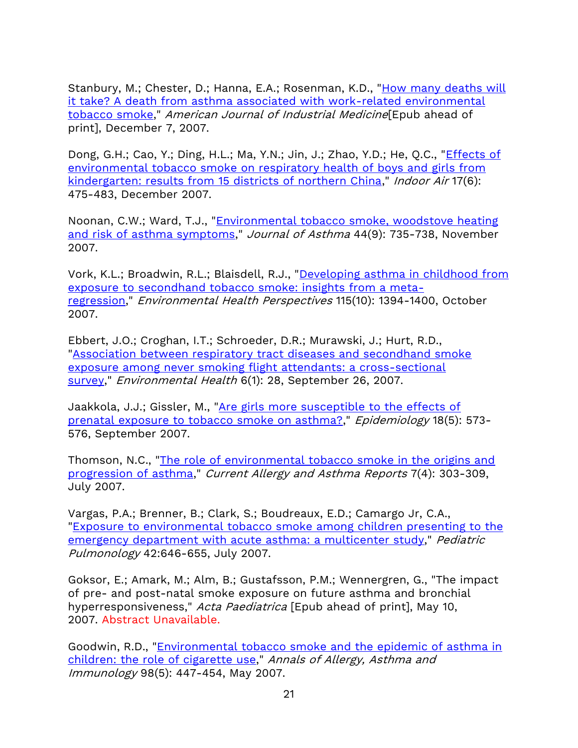Stanbury, M.; Chester, D.; Hanna, E.A.; Rosenman, K.D., "How many deaths will [it take? A death from asthma associated with work-related environmental](http://onlinelibrary.wiley.com/doi/10.1002/ajim.20538/abstract)  [tobacco](http://onlinelibrary.wiley.com/doi/10.1002/ajim.20538/abstract) smoke," American Journal of Industrial Medicine[Epub ahead of print], December 7, 2007.

Dong, G.H.; Cao, Y.; Ding, H.L.; Ma, Y.N.; Jin, J.; Zhao, Y.D.; He, Q.C., "*Effects of* [environmental tobacco smoke on respiratory health of boys and girls from](http://onlinelibrary.wiley.com/doi/10.1111/j.1600-0668.2007.00495.x/full)  [kindergarten: results from 15 districts of northern China,](http://onlinelibrary.wiley.com/doi/10.1111/j.1600-0668.2007.00495.x/full)" Indoor Air 17(6): 475-483, December 2007.

Noonan, C.W.; Ward, T.J., ["Environmental tobacco smoke, woodstove heating](http://informahealthcare.com/doi/abs/10.1080/02770900701595675)  [and risk of asthma symptoms,](http://informahealthcare.com/doi/abs/10.1080/02770900701595675)" Journal of Asthma 44(9): 735-738, November 2007.

Vork, K.L.; Broadwin, R.L.; Blaisdell, R.J., ["Developing asthma in childhood from](http://www.scielosp.org/scielo.php?pid=S1413-81232008000400028&script=sci_abstract)  [exposure to secondhand tobacco smoke: insights from a meta](http://www.scielosp.org/scielo.php?pid=S1413-81232008000400028&script=sci_abstract)[regression,](http://www.scielosp.org/scielo.php?pid=S1413-81232008000400028&script=sci_abstract)" Environmental Health Perspectives 115(10): 1394-1400, October 2007.

Ebbert, J.O.; Croghan, I.T.; Schroeder, D.R.; Murawski, J.; Hurt, R.D., ["Association between respiratory tract diseases and secondhand smoke](http://en.scientificcommons.org/24051788)  [exposure among never smoking flight attendants: a cross-sectional](http://en.scientificcommons.org/24051788)  [survey,](http://en.scientificcommons.org/24051788)" Environmental Health 6(1): 28, September 26, 2007.

Jaakkola, J.J.; Gissler, M., ["Are girls more susceptible to the effects of](http://journals.lww.com/epidem/Abstract/2007/09000/Are_Girls_More_Susceptible_to_the_Effects_of.8.aspx)  [prenatal exposure to tobacco smoke on asthma?,](http://journals.lww.com/epidem/Abstract/2007/09000/Are_Girls_More_Susceptible_to_the_Effects_of.8.aspx)" Epidemiology 18(5): 573- 576, September 2007.

Thomson, N.C., ["The role of environmental tobacco smoke in the origins and](http://www.springerlink.com/content/l07lj3541725w428/)  [progression of asthma,](http://www.springerlink.com/content/l07lj3541725w428/)" Current Allergy and Asthma Reports 7(4): 303-309, July 2007.

Vargas, P.A.; Brenner, B.; Clark, S.; Boudreaux, E.D.; Camargo Jr, C.A., ["Exposure to environmental tobacco smoke among children presenting to the](http://onlinelibrary.wiley.com/doi/10.1002/ppul.20637/abstract)  [emergency department with acute asthma: a multicenter study,](http://onlinelibrary.wiley.com/doi/10.1002/ppul.20637/abstract)" Pediatric Pulmonology 42:646-655, July 2007.

Goksor, E.; Amark, M.; Alm, B.; Gustafsson, P.M.; Wennergren, G., "The impact of pre- and post-natal smoke exposure on future asthma and bronchial hyperresponsiveness," Acta Paediatrica [Epub ahead of print], May 10, 2007. Abstract Unavailable.

Goodwin, R.D., ["Environmental tobacco smoke and the epidemic of asthma in](http://www.sciencedirect.com/science/article/pii/S1081120610607594)  [children: the role of cigarette use,](http://www.sciencedirect.com/science/article/pii/S1081120610607594)" Annals of Allergy, Asthma and Immunology 98(5): 447-454, May 2007.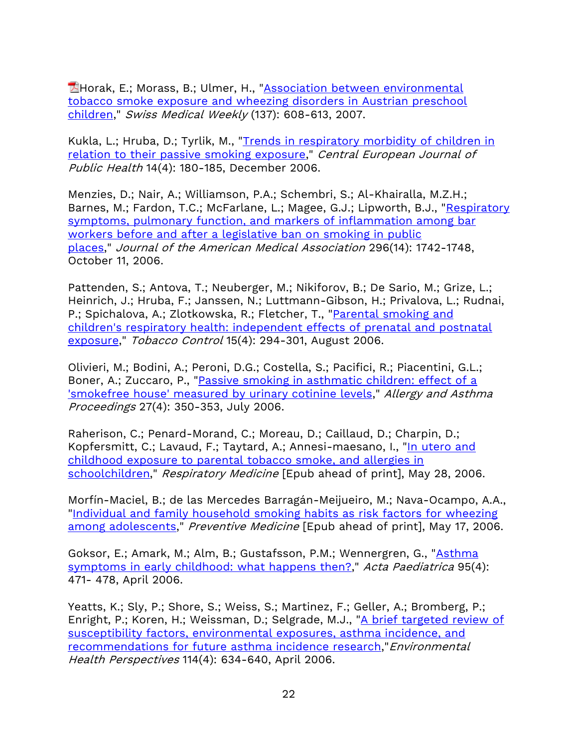**Horak, E.; Morass, B.; Ulmer, H., "Association between environmental** [tobacco smoke exposure and wheezing disorders in Austrian preschool](http://www.isdbweb.org/documents/file/1088_5.pdf)  [children,](http://www.isdbweb.org/documents/file/1088_5.pdf)" Swiss Medical Weekly (137): 608-613, 2007.

Kukla, L.; Hruba, D.; Tyrlik, M., "Trends in respiratory morbidity of children in [relation to their passive smoking exposure,](http://cat.inist.fr/?aModele=afficheN&cpsidt=18491263)" Central European Journal of Public Health 14(4): 180-185, December 2006.

Menzies, D.; Nair, A.; Williamson, P.A.; Schembri, S.; Al-Khairalla, M.Z.H.; Barnes, M.; Fardon, T.C.; McFarlane, L.; Magee, G.J.; Lipworth, B.J., "Respiratory [symptoms, pulmonary function, and markers of inflammation among bar](http://jama.ama-assn.org/content/296/14/1742.short)  workers before and after a legislative ban on smoking in public [places,](http://jama.ama-assn.org/content/296/14/1742.short)" Journal of the American Medical Association 296(14): 1742-1748, October 11, 2006.

Pattenden, S.; Antova, T.; Neuberger, M.; Nikiforov, B.; De Sario, M.; Grize, L.; Heinrich, J.; Hruba, F.; Janssen, N.; Luttmann-Gibson, H.; Privalova, L.; Rudnai, P.; Spichalova, A.; Zlotkowska, R.; Fletcher, T., "Parental smoking and [children's respiratory health: independent effects of prenatal and postnatal](http://tobaccocontrol.bmj.com/content/15/4/294.short)  [exposure,](http://tobaccocontrol.bmj.com/content/15/4/294.short)" Tobacco Control 15(4): 294-301, August 2006.

Olivieri, M.; Bodini, A.; Peroni, D.G.; Costella, S.; Pacifici, R.; Piacentini, G.L.; Boner, A.; Zuccaro, P., "Passive smoking in asthmatic children: effect of a ['smokefree house' measured by urinary cotinine levels,](http://www.ingentaconnect.com/content/ocean/aap/2006/00000027/00000004/art00008)" Allergy and Asthma Proceedings 27(4): 350-353, July 2006.

Raherison, C.; Penard-Morand, C.; Moreau, D.; Caillaud, D.; Charpin, D.; Kopfersmitt, C.; Lavaud, F.; Taytard, A.; Annesi-maesano, I., "In utero and [childhood exposure to parental tobacco smoke, and allergies in](http://www.sciencedirect.com/science/article/pii/S0954611106002216)  [schoolchildren,](http://www.sciencedirect.com/science/article/pii/S0954611106002216)" Respiratory Medicine [Epub ahead of print], May 28, 2006.

Morfín-Maciel, B.; de las Mercedes Barragán-Meijueiro, M.; Nava-Ocampo, A.A., "Individual and family household [smoking habits as risk factors for wheezing](http://www.sciencedirect.com/science/article/pii/S0091743506001538)  [among adolescents,](http://www.sciencedirect.com/science/article/pii/S0091743506001538)" Preventive Medicine [Epub ahead of print], May 17, 2006.

Goksor, E.; Amark, M.; Alm, B.; Gustafsson, P.M.; Wennergren, G., ["Asthma](http://onlinelibrary.wiley.com/doi/10.1111/j.1651-2227.2006.tb02264.x/full)  [symptoms in early childhood: what happens then?,](http://onlinelibrary.wiley.com/doi/10.1111/j.1651-2227.2006.tb02264.x/full)" Acta Paediatrica 95(4): 471- 478, April 2006.

Yeatts, K.; Sly, P.; Shore, S.; Weiss, S.; Martinez, F.; Geller, A.; Bromberg, P.; Enright, P.; Koren, H.; Weissman, D.; Selgrade, M.J., ["A brief targeted review of](http://www.ncbi.nlm.nih.gov/pmc/articles/PMC1440793/)  [susceptibility factors, environmental exposures, asthma incidence, and](http://www.ncbi.nlm.nih.gov/pmc/articles/PMC1440793/)  [recommendations for future asthma incidence research,](http://www.ncbi.nlm.nih.gov/pmc/articles/PMC1440793/)"Environmental Health Perspectives 114(4): 634-640, April 2006.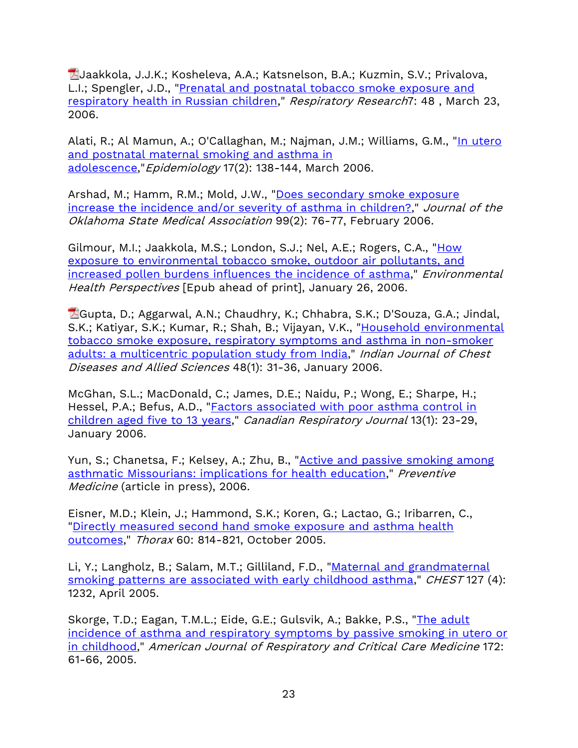Jaakkola, J.J.K.; Kosheleva, A.A.; Katsnelson, B.A.; Kuzmin, S.V.; Privalova, L.I.; Spengler, J.D., ["Prenatal and postnatal tobacco smoke exposure and](http://no-smoke.org/www.biomedcentral.com/content/pdf/1465-9921-7-48.pdf)  [respiratory health in Russian children,](http://no-smoke.org/www.biomedcentral.com/content/pdf/1465-9921-7-48.pdf)" Respiratory Research7: 48 , March 23, 2006.

Alati, R.; Al Mamun, A.; O'Callaghan, M.; Najman, J.M.; Williams, G.M., "In utero and postnatal maternal smoking and asthma in [adolescence,](http://no-smoke.org/journals.lww.com/epidem/Abstract/2006/03000/In_Utero_and_Postnatal_Maternal_Smoking_and_Asthma.7.aspx)" Epidemiology 17(2): 138-144, March 2006.

Arshad, M.; Hamm, R.M.; Mold, J.W., ["Does secondary smoke exposure](http://www.ncbi.nlm.nih.gov/pubmed/16562396)  [increase the incidence and/or severity of asthma in children?,](http://www.ncbi.nlm.nih.gov/pubmed/16562396)" Journal of the Oklahoma State Medical Association 99(2): 76-77, February 2006.

Gilmour, M.I.; Jaakkola, M.S.; London, S.J.; Nel, A.E.; Rogers, C.A., "How [exposure to environmental tobacco smoke, outdoor air pollutants, and](http://www.ncbi.nlm.nih.gov/pmc/articles/PMC1440792/)  [increased pollen burdens influences the incidence of asthma,](http://www.ncbi.nlm.nih.gov/pmc/articles/PMC1440792/)" Environmental Health Perspectives [Epub ahead of print], January 26, 2006.

Gupta, D.; Aggarwal, A.N.; Chaudhry, K.; Chhabra, S.K.; D'Souza, G.A.; Jindal, S.K.; Katiyar, S.K.; Kumar, R.; Shah, B.; Vijayan, V.K., "Household environmental [tobacco smoke exposure, respiratory symptoms and asthma in non-smoker](http://no-smoke.org/www.vpci.org.in/upload/Journals/pic139.pdf#page=31)  [adults: a multicentric population study from India,](http://no-smoke.org/www.vpci.org.in/upload/Journals/pic139.pdf#page=31)" Indian Journal of Chest Diseases and Allied Sciences 48(1): 31-36, January 2006.

McGhan, S.L.; MacDonald, C.; James, D.E.; Naidu, P.; Wong, E.; Sharpe, H.; Hessel, P.A.; Befus, A.D., ["Factors associated with poor asthma control in](http://www.ncbi.nlm.nih.gov/pmc/articles/PMC2539007/)  [children aged five to 13 years,](http://www.ncbi.nlm.nih.gov/pmc/articles/PMC2539007/)" Canadian Respiratory Journal 13(1): 23-29, January 2006.

Yun, S.; Chanetsa, F.; Kelsey, A.; Zhu, B., ["Active and passive smoking among](http://www.sciencedirect.com/science/article/pii/S0091743506000053)  [asthmatic Missourians: implications for health education,](http://www.sciencedirect.com/science/article/pii/S0091743506000053)" Preventive Medicine (article in press), 2006.

Eisner, M.D.; Klein, J.; Hammond, S.K.; Koren, G.; Lactao, G.; Iribarren, C., ["Directly measured second hand smoke exposure and asthma health](http://thorax.bmj.com/content/60/10/814.abstract)  [outcomes,](http://thorax.bmj.com/content/60/10/814.abstract)" Thorax 60: 814-821, October 2005.

Li, Y.; Langholz, B.; Salam, M.T.; Gilliland, F.D., ["Maternal and grandmaternal](http://chestjournal.chestpubs.org/content/127/4/1232.short)  [smoking patterns are associated with early childhood asthma,](http://chestjournal.chestpubs.org/content/127/4/1232.short)" CHEST 127 (4): 1232, April 2005.

Skorge, T.D.; Eagan, T.M.L.; Eide, G.E.; Gulsvik, A.; Bakke, P.S., ["The adult](http://171.66.122.149/content/172/1/61.abstract)  [incidence of asthma and respiratory symptoms by passive smoking in utero or](http://171.66.122.149/content/172/1/61.abstract)  [in childhood,](http://171.66.122.149/content/172/1/61.abstract)" American Journal of Respiratory and Critical Care Medicine 172: 61-66, 2005.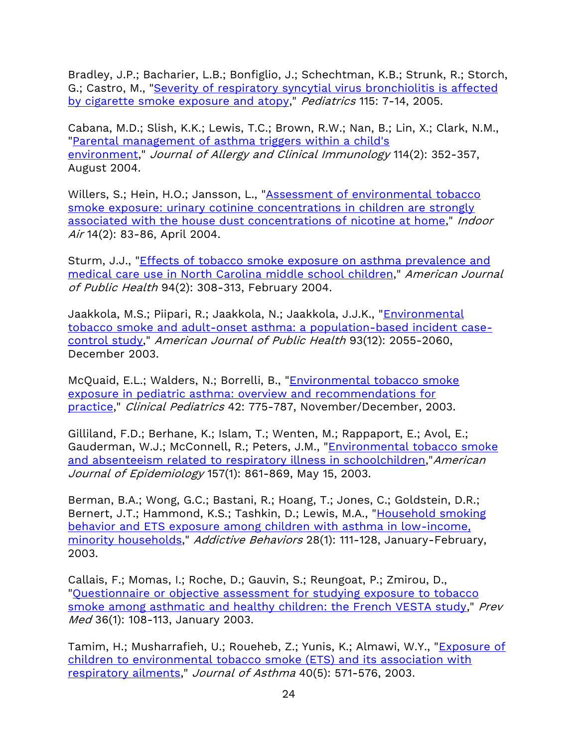Bradley, J.P.; Bacharier, L.B.; Bonfiglio, J.; Schechtman, K.B.; Strunk, R.; Storch, G.; Castro, M., ["Severity of respiratory syncytial virus bronchiolitis is affected](http://pediatrics.aappublications.org/content/115/1/e7.short)  [by cigarette smoke exposure and atopy,](http://pediatrics.aappublications.org/content/115/1/e7.short)" Pediatrics 115: 7-14, 2005.

Cabana, M.D.; Slish, K.K.; Lewis, T.C.; Brown, R.W.; Nan, B.; Lin, X.; Clark, N.M., ["Parental management of asthma triggers within a child's](http://www.sciencedirect.com/science/article/pii/S0091674904014666)  [environment,](http://www.sciencedirect.com/science/article/pii/S0091674904014666)" Journal of Allergy and Clinical Immunology 114(2): 352-357, August 2004.

Willers, S.; Hein, H.O.; Jansson, L., "Assessment of environmental tobacco [smoke exposure: urinary cotinine concentrations in children are strongly](http://onlinelibrary.wiley.com/doi/10.1046/j.1600-0668.2003.00211.x/full)  [associated with the house dust concentrations of](http://onlinelibrary.wiley.com/doi/10.1046/j.1600-0668.2003.00211.x/full) nicotine at home," Indoor Air 14(2): 83-86, April 2004.

Sturm, J.J., ["Effects of tobacco smoke exposure on asthma prevalence and](http://ajph.aphapublications.org/doi/abs/10.2105/AJPH.94.2.308)  [medical care use in North Carolina](http://ajph.aphapublications.org/doi/abs/10.2105/AJPH.94.2.308) middle school children," American Journal of Public Health 94(2): 308-313, February 2004.

Jaakkola, M.S.; Piipari, R.; Jaakkola, N.; Jaakkola, J.J.K., "Environmental [tobacco smoke and adult-onset asthma: a population-based incident case](http://ajph.aphapublications.org/doi/abs/10.2105/AJPH.93.12.2055)[control study,](http://ajph.aphapublications.org/doi/abs/10.2105/AJPH.93.12.2055)" American Journal of Public Health 93(12): 2055-2060, December 2003.

McQuaid, E.L.; Walders, N.; Borrelli, B., ["Environmental tobacco smoke](http://no-smoke.org/cpj.sagepub.com/content/42/9/775.short)  [exposure in pediatric asthma: overview and recommendations for](http://no-smoke.org/cpj.sagepub.com/content/42/9/775.short)  [practice,](http://no-smoke.org/cpj.sagepub.com/content/42/9/775.short)" Clinical Pediatrics 42: 775-787, November/December, 2003.

Gilliland, F.D.; Berhane, K.; Islam, T.; Wenten, M.; Rappaport, E.; Avol, E.; Gauderman, W.J.; McConnell, R.; Peters, J.M., "Environmental tobacco smoke [and absenteeism related to respiratory illness in schoolchildren,](http://aje.oxfordjournals.org/content/157/10/861.short)"American Journal of Epidemiology 157(1): 861-869, May 15, 2003.

Berman, B.A.; Wong, G.C.; Bastani, R.; Hoang, T.; Jones, C.; Goldstein, D.R.; Bernert, J.T.; Hammond, K.S.; Tashkin, D.; Lewis, M.A., "Household smoking [behavior and ETS exposure among children with asthma in low-income,](http://www.sciencedirect.com/science/article/pii/S0306460301002210)  [minority households,](http://www.sciencedirect.com/science/article/pii/S0306460301002210)" Addictive Behaviors 28(1): 111-128, January-February, 2003.

Callais, F.; Momas, I.; Roche, D.; Gauvin, S.; Reungoat, P.; Zmirou, D., ["Questionnaire or objective assessment for studying exposure to tobacco](http://no-smoke.org/www.sciencedirect.com/science/article/pii/S0091743502911321)  [smoke among asthmatic and healthy children: the French VESTA study,](http://no-smoke.org/www.sciencedirect.com/science/article/pii/S0091743502911321)" Prev Med 36(1): 108-113, January 2003.

Tamim, H.; Musharrafieh, U.; Roueheb, Z.; Yunis, K.; Almawi, W.Y., ["Exposure of](http://informahealthcare.com/doi/abs/10.1081/JAS-120019029)  [children to environmental tobacco smoke \(ETS\) and its association with](http://informahealthcare.com/doi/abs/10.1081/JAS-120019029)  [respiratory ailments,](http://informahealthcare.com/doi/abs/10.1081/JAS-120019029)" Journal of Asthma 40(5): 571-576, 2003.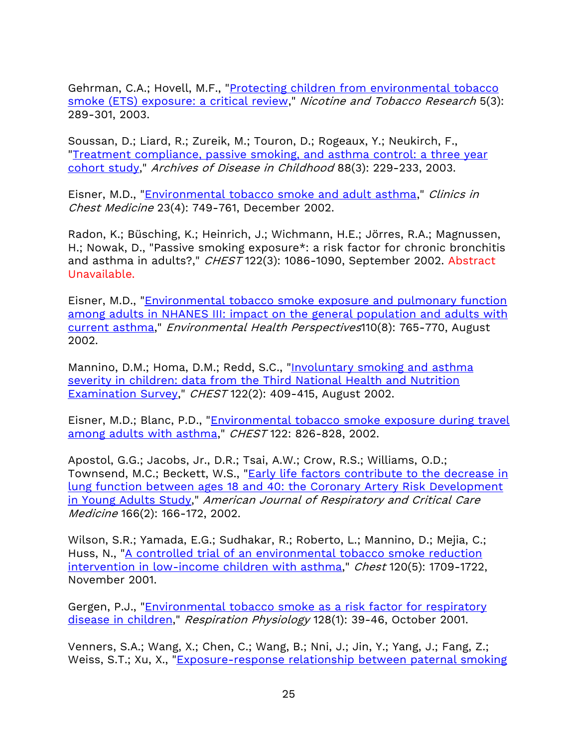Gehrman, C.A.; Hovell, M.F., ["Protecting children from environmental tobacco](http://ntr.oxfordjournals.org/content/5/3/289.short)  [smoke \(ETS\) exposure: a critical review,](http://ntr.oxfordjournals.org/content/5/3/289.short)" Nicotine and Tobacco Research 5(3): 289-301, 2003.

Soussan, D.; Liard, R.; Zureik, M.; Touron, D.; Rogeaux, Y.; Neukirch, F., ["Treatment compliance, passive smoking, and asthma control: a three year](http://adc.bmj.com/content/88/3/229.abstract)  [cohort study,](http://adc.bmj.com/content/88/3/229.abstract)" Archives of Disease in Childhood 88(3): 229-233, 2003.

Eisner, M.D., "*Environmental tobacco smoke and adult asthma*," *Clinics in* Chest Medicine 23(4): 749-761, December 2002.

Radon, K.; Büsching, K.; Heinrich, J.; Wichmann, H.E.; Jörres, R.A.; Magnussen, H.; Nowak, D., "Passive smoking exposure\*: a risk factor for chronic bronchitis and asthma in adults?," CHEST 122(3): 1086-1090, September 2002. Abstract Unavailable.

Eisner, M.D., ["Environmental tobacco smoke exposure and pulmonary function](http://www.ncbi.nlm.nih.gov/pmc/articles/PMC1240946/)  [among adults in NHANES III: impact on the general population and adults with](http://www.ncbi.nlm.nih.gov/pmc/articles/PMC1240946/)  [current asthma,](http://www.ncbi.nlm.nih.gov/pmc/articles/PMC1240946/)" Environmental Health Perspectives110(8): 765-770, August 2002.

Mannino, D.M.; Homa, D.M.; Redd, S.C., "Involuntary smoking and asthma [severity in children: data from the Third National Health and Nutrition](http://no-smoke.org/pediatrics.aappublications.org/content/112/Supplement_2/471.1.short)  [Examination Survey,](http://no-smoke.org/pediatrics.aappublications.org/content/112/Supplement_2/471.1.short)" CHEST 122(2): 409-415, August 2002.

Eisner, M.D.; Blanc, P.D., ["Environmental tobacco smoke](http://no-smoke.org/chestjournal.chestpubs.org/content/122/3/826.short) exposure during travel [among adults with asthma,](http://no-smoke.org/chestjournal.chestpubs.org/content/122/3/826.short)" CHEST 122: 826-828, 2002.

Apostol, G.G.; Jacobs, Jr., D.R.; Tsai, A.W.; Crow, R.S.; Williams, O.D.; Townsend, M.C.; Beckett, W.S., "Early life factors contribute to the decrease in [lung function between ages 18 and 40: the Coronary Artery Risk Development](http://171.66.122.149/content/166/2/166.abstract)  [in Young Adults Study,](http://171.66.122.149/content/166/2/166.abstract)" American Journal of Respiratory and Critical Care Medicine 166(2): 166-172, 2002.

Wilson, S.R.; Yamada, E.G.; Sudhakar, R.; Roberto, L.; Mannino, D.; Mejia, C.; Huss, N., ["A controlled trial of an environmental tobacco smoke reduction](http://no-smoke.org/chestjournal.chestpubs.org/content/120/5/1709.short)  [intervention in low-income children with asthma,](http://no-smoke.org/chestjournal.chestpubs.org/content/120/5/1709.short)" Chest 120(5): 1709-1722, November 2001.

Gergen, P.J., ["Environmental tobacco smoke as a risk factor for respiratory](http://www.sciencedirect.com/science/article/pii/S0034568701002638)  [disease in children,](http://www.sciencedirect.com/science/article/pii/S0034568701002638)" Respiration Physiology 128(1): 39-46, October 2001.

Venners, S.A.; Wang, X.; Chen, C.; Wang, B.; Nni, J.; Jin, Y.; Yang, J.; Fang, Z.; Weiss, S.T.; Xu, X., ["Exposure-response relationship between paternal smoking](http://ajrccm.atsjournals.org/content/164/6/973.abstract)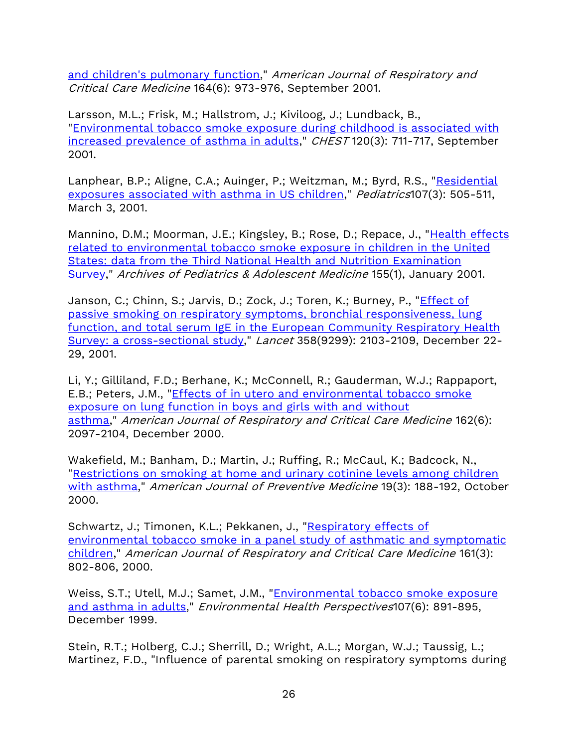[and children's pulmonary function,](http://ajrccm.atsjournals.org/content/164/6/973.abstract)" American Journal of Respiratory and Critical Care Medicine 164(6): 973-976, September 2001.

Larsson, M.L.; Frisk, M.; Hallstrom, J.; Kiviloog, J.; Lundback, B., ["Environmental tobacco smoke exposure during childhood is associated with](http://no-smoke.org/chestjournal.chestpubs.org/content/120/3/711.short)  [increased prevalence of asthma in adults,](http://no-smoke.org/chestjournal.chestpubs.org/content/120/3/711.short)" CHEST 120(3): 711-717, September 2001.

Lanphear, B.P.; Aligne, C.A.; Auinger, P.; Weitzman, M.; Byrd, R.S., ["Residential](http://pediatrics.aappublications.org/content/107/3/505.short)  [exposures associated with asthma in US children,](http://pediatrics.aappublications.org/content/107/3/505.short)" Pediatrics107(3): 505-511, March 3, 2001.

Mannino, D.M.; Moorman, J.E.; Kingsley, B.; Rose, D.; Repace, J., "Health effects [related to environmental tobacco smoke exposure in children in the United](http://archpedi.ama-assn.org/cgi/content/abstract/155/1/36)  [States: data from the Third National Health and Nutrition Examination](http://archpedi.ama-assn.org/cgi/content/abstract/155/1/36)  [Survey,](http://archpedi.ama-assn.org/cgi/content/abstract/155/1/36)" Archives of Pediatrics & Adolescent Medicine 155(1), January 2001.

Janson, C.; Chinn, S.; Jarvis, D.; Zock, J.; Toren, K.; Burney, P., "*Effect of* [passive smoking on respiratory symptoms, bronchial responsiveness, lung](http://www.thelancet.com/journals/lancet/article/PIIS0140-6736(01)07214-2/fulltext)  [function, and total serum IgE in the European Community Respiratory Health](http://www.thelancet.com/journals/lancet/article/PIIS0140-6736(01)07214-2/fulltext)  [Survey: a cross-sectional study,](http://www.thelancet.com/journals/lancet/article/PIIS0140-6736(01)07214-2/fulltext)" Lancet 358(9299): 2103-2109, December 22- 29, 2001.

Li, Y.; Gilliland, F.D.; Berhane, K.; McConnell, R.; Gauderman, W.J.; Rappaport, E.B.; Peters, J.M., ["Effects of in utero and environmental tobacco smoke](http://171.66.122.149/content/162/6/2097.abstract)  [exposure on lung function in boys and girls with and without](http://171.66.122.149/content/162/6/2097.abstract)  [asthma,](http://171.66.122.149/content/162/6/2097.abstract)" American Journal of Respiratory and Critical Care Medicine 162(6): 2097-2104, December 2000.

Wakefield, M.; Banham, D.; Martin, J.; Ruffing, R.; McCaul, K.; Badcock, N., ["Restrictions on smoking at home and urinary cotinine levels among children](http://www.ajpmonline.org/article/S0749-3797(00)00197-5/abstract)  [with asthma,](http://www.ajpmonline.org/article/S0749-3797(00)00197-5/abstract)" American Journal of Preventive Medicine 19(3): 188-192, October 2000.

Schwartz, J.; Timonen, K.L.; Pekkanen, J., "Respiratory effects of [environmental tobacco smoke in a panel study of asthmatic](http://171.66.122.149/content/161/3/802.abstract) and symptomatic [children,](http://171.66.122.149/content/161/3/802.abstract)" American Journal of Respiratory and Critical Care Medicine 161(3): 802-806, 2000.

Weiss, S.T.; Utell, M.J.; Samet, J.M., "Environmental tobacco smoke exposure [and asthma in adults,](http://www.ncbi.nlm.nih.gov/pmc/articles/PMC1566208/)" Environmental Health Perspectives107(6): 891-895, December 1999.

Stein, R.T.; Holberg, C.J.; Sherrill, D.; Wright, A.L.; Morgan, W.J.; Taussig, L.; Martinez, F.D., "Influence of parental smoking on respiratory symptoms during